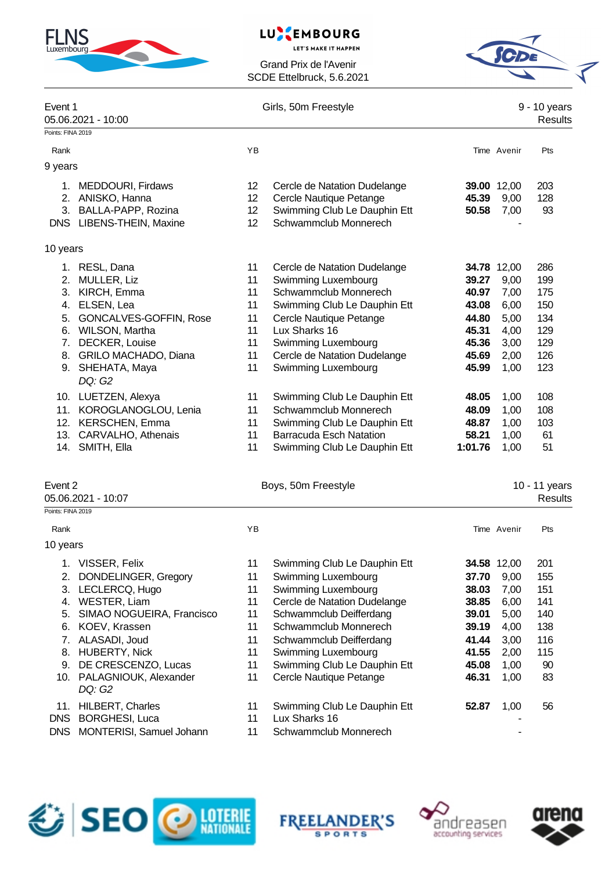

#### **EMBOURG** LU

**LET'S MAKE IT HAPPEN** 

Grand Prix de l'Avenir SCDE Ettelbruck, 5.6.2021



|                                        | Event 1<br>05.06.2021 - 10:00                                                                                                                                                                                                                                                                                     |                                                                                  | Girls, 50m Freestyle                                                                                                                                                                                                                                                                                                                                                                              |                                                                                                                     | 9 - 10 years<br>Results                                                                                             |                                                                                              |
|----------------------------------------|-------------------------------------------------------------------------------------------------------------------------------------------------------------------------------------------------------------------------------------------------------------------------------------------------------------------|----------------------------------------------------------------------------------|---------------------------------------------------------------------------------------------------------------------------------------------------------------------------------------------------------------------------------------------------------------------------------------------------------------------------------------------------------------------------------------------------|---------------------------------------------------------------------------------------------------------------------|---------------------------------------------------------------------------------------------------------------------|----------------------------------------------------------------------------------------------|
| Points: FINA 2019                      |                                                                                                                                                                                                                                                                                                                   |                                                                                  |                                                                                                                                                                                                                                                                                                                                                                                                   |                                                                                                                     |                                                                                                                     |                                                                                              |
| Rank                                   |                                                                                                                                                                                                                                                                                                                   | YB                                                                               |                                                                                                                                                                                                                                                                                                                                                                                                   |                                                                                                                     | Time Avenir                                                                                                         | Pts                                                                                          |
| 9 years                                |                                                                                                                                                                                                                                                                                                                   |                                                                                  |                                                                                                                                                                                                                                                                                                                                                                                                   |                                                                                                                     |                                                                                                                     |                                                                                              |
|                                        | 1. MEDDOURI, Firdaws<br>2. ANISKO, Hanna<br>3. BALLA-PAPP, Rozina<br>DNS LIBENS-THEIN, Maxine                                                                                                                                                                                                                     | 12 <sup>2</sup><br>12<br>12<br>12                                                | Cercle de Natation Dudelange<br>Cercle Nautique Petange<br>Swimming Club Le Dauphin Ett<br>Schwammclub Monnerech                                                                                                                                                                                                                                                                                  | 45.39<br>50.58                                                                                                      | 39.00 12,00<br>9,00<br>7,00                                                                                         | 203<br>128<br>93                                                                             |
|                                        |                                                                                                                                                                                                                                                                                                                   |                                                                                  |                                                                                                                                                                                                                                                                                                                                                                                                   |                                                                                                                     |                                                                                                                     |                                                                                              |
| 10 years                               |                                                                                                                                                                                                                                                                                                                   |                                                                                  |                                                                                                                                                                                                                                                                                                                                                                                                   |                                                                                                                     |                                                                                                                     |                                                                                              |
| 1.<br>14.                              | RESL, Dana<br>2. MULLER, Liz<br>3. KIRCH, Emma<br>4. ELSEN, Lea<br>5. GONCALVES-GOFFIN, Rose<br>6. WILSON, Martha<br>7. DECKER, Louise<br>8. GRILO MACHADO, Diana<br>9. SHEHATA, Maya<br>DQ: G2<br>10. LUETZEN, Alexya<br>11. KOROGLANOGLOU, Lenia<br>12. KERSCHEN, Emma<br>13. CARVALHO, Athenais<br>SMITH, Ella | 11<br>11<br>11<br>11<br>11<br>11<br>11<br>11<br>11<br>11<br>11<br>11<br>11<br>11 | Cercle de Natation Dudelange<br>Swimming Luxembourg<br>Schwammclub Monnerech<br>Swimming Club Le Dauphin Ett<br>Cercle Nautique Petange<br>Lux Sharks 16<br>Swimming Luxembourg<br>Cercle de Natation Dudelange<br>Swimming Luxembourg<br>Swimming Club Le Dauphin Ett<br>Schwammclub Monnerech<br>Swimming Club Le Dauphin Ett<br><b>Barracuda Esch Natation</b><br>Swimming Club Le Dauphin Ett | 39.27<br>40.97<br>43.08<br>44.80<br>45.31<br>45.36<br>45.69<br>45.99<br>48.05<br>48.09<br>48.87<br>58.21<br>1:01.76 | 34.78 12,00<br>9,00<br>7,00<br>6,00<br>5,00<br>4,00<br>3,00<br>2,00<br>1,00<br>1,00<br>1,00<br>1,00<br>1,00<br>1,00 | 286<br>199<br>175<br>150<br>134<br>129<br>129<br>126<br>123<br>108<br>108<br>103<br>61<br>51 |
| Event 2                                | 05.06.2021 - 10:07                                                                                                                                                                                                                                                                                                |                                                                                  | Boys, 50m Freestyle                                                                                                                                                                                                                                                                                                                                                                               |                                                                                                                     |                                                                                                                     | 10 - 11 years<br>Results                                                                     |
| Points: FINA 2019                      |                                                                                                                                                                                                                                                                                                                   |                                                                                  |                                                                                                                                                                                                                                                                                                                                                                                                   |                                                                                                                     |                                                                                                                     |                                                                                              |
| Rank<br>10 years                       |                                                                                                                                                                                                                                                                                                                   | ΥB                                                                               |                                                                                                                                                                                                                                                                                                                                                                                                   |                                                                                                                     | Time Avenir                                                                                                         | Pts                                                                                          |
|                                        |                                                                                                                                                                                                                                                                                                                   |                                                                                  |                                                                                                                                                                                                                                                                                                                                                                                                   |                                                                                                                     |                                                                                                                     |                                                                                              |
| 1.<br>2.<br>3.<br>4.<br>5.<br>6.<br>7. | VISSER, Felix<br>DONDELINGER, Gregory<br>LECLERCQ, Hugo<br>WESTER, Liam<br>SIMAO NOGUEIRA, Francisco<br>KOEV, Krassen<br>ALASADI, Joud<br>8. HUBERTY, Nick<br>9. DE CRESCENZO, Lucas<br>10. PALAGNIOUK, Alexander<br>DQ: G2                                                                                       | 11<br>11<br>11<br>11<br>11<br>11<br>11<br>11<br>11<br>11                         | Swimming Club Le Dauphin Ett<br>Swimming Luxembourg<br>Swimming Luxembourg<br>Cercle de Natation Dudelange<br>Schwammclub Deifferdang<br>Schwammclub Monnerech<br>Schwammclub Deifferdang<br>Swimming Luxembourg<br>Swimming Club Le Dauphin Ett<br>Cercle Nautique Petange                                                                                                                       | 37.70<br>38.03<br>38.85<br>39.01<br>39.19<br>41.44<br>41.55<br>45.08<br>46.31                                       | 34.58 12,00<br>9,00<br>7,00<br>6,00<br>5,00<br>4,00<br>3,00<br>2,00<br>1,00<br>1,00                                 | 201<br>155<br>151<br>141<br>140<br>138<br>116<br>115<br>90<br>83                             |
| 11.<br><b>DNS</b>                      | <b>HILBERT, Charles</b><br><b>BORGHESI, Luca</b>                                                                                                                                                                                                                                                                  | 11<br>11                                                                         | Swimming Club Le Dauphin Ett<br>Lux Sharks 16                                                                                                                                                                                                                                                                                                                                                     | 52.87                                                                                                               | 1,00                                                                                                                | 56                                                                                           |

DNS MONTERISI, Samuel Johann 11 Schwammclub Monnerech







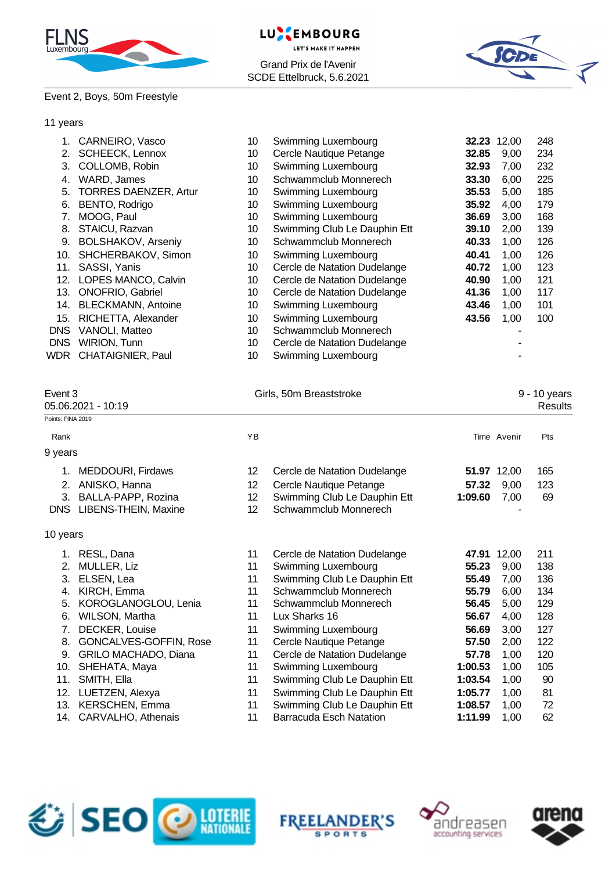

#### **EMBOURG** LU **LET'S MAKE IT HAPPEN** Grand Prix de l'Avenir SCDE Ettelbruck, 5.6.2021



#### Event 2, Boys, 50m Freestyle

#### 11 years

|            | CARNEIRO, Vasco              | 10 | Swimming Luxembourg          | 32.23 | 12,00 | 248 |
|------------|------------------------------|----|------------------------------|-------|-------|-----|
| 2.         | <b>SCHEECK, Lennox</b>       | 10 | Cercle Nautique Petange      | 32.85 | 9,00  | 234 |
| 3.         | COLLOMB, Robin               | 10 | Swimming Luxembourg          | 32.93 | 7,00  | 232 |
| 4.         | WARD, James                  | 10 | Schwammclub Monnerech        | 33.30 | 6.00  | 225 |
| 5.         | <b>TORRES DAENZER, Artur</b> | 10 | Swimming Luxembourg          | 35.53 | 5.00  | 185 |
| 6.         | BENTO, Rodrigo               | 10 | Swimming Luxembourg          | 35.92 | 4.00  | 179 |
| 7.         | MOOG, Paul                   | 10 | Swimming Luxembourg          | 36.69 | 3,00  | 168 |
| 8.         | STAICU, Razvan               | 10 | Swimming Club Le Dauphin Ett | 39.10 | 2,00  | 139 |
| 9.         | <b>BOLSHAKOV, Arseniy</b>    | 10 | Schwammclub Monnerech        | 40.33 | 1,00  | 126 |
| 10.        | SHCHERBAKOV, Simon           | 10 | Swimming Luxembourg          | 40.41 | 1,00  | 126 |
| 11.        | SASSI, Yanis                 | 10 | Cercle de Natation Dudelange | 40.72 | 1.00  | 123 |
| 12.        | LOPES MANCO, Calvin          | 10 | Cercle de Natation Dudelange | 40.90 | 1,00  | 121 |
| 13.        | <b>ONOFRIO, Gabriel</b>      | 10 | Cercle de Natation Dudelange | 41.36 | 1,00  | 117 |
| 14.        | <b>BLECKMANN, Antoine</b>    | 10 | Swimming Luxembourg          | 43.46 | 1,00  | 101 |
| 15.        | RICHETTA, Alexander          | 10 | Swimming Luxembourg          | 43.56 | 1,00  | 100 |
| <b>DNS</b> | VANOLI, Matteo               | 10 | Schwammclub Monnerech        |       |       |     |
| <b>DNS</b> | <b>WIRION, Tunn</b>          | 10 | Cercle de Natation Dudelange |       |       |     |
| WDR        | <b>CHATAIGNIER, Paul</b>     | 10 | Swimming Luxembourg          |       |       |     |

# Event 3 Girls, 50m Breaststroke 6 and 5 and 5 and 5 and 5 and 5 and 5 and 5 and 5 and 5 and 6 and 5 and 6 and 5 and 6 and 5 and 6 and 5 and 6 and 5 and 6 and 5 and 6 and 5 and 6 and 5 and 6 and 5 and 6 and 5 and 6 and 5 an Points: FINA 2019

|                   | 05.06.2021 - 10:19<br>Results |    |                              |         |             |            |  |
|-------------------|-------------------------------|----|------------------------------|---------|-------------|------------|--|
| Points: FINA 2019 |                               |    |                              |         |             |            |  |
| Rank              |                               | ΥB |                              |         | Time Avenir | <b>Pts</b> |  |
| 9 years           |                               |    |                              |         |             |            |  |
|                   | MEDDOURI, Firdaws             | 12 | Cercle de Natation Dudelange |         | 51.97 12,00 | 165        |  |
| 2.                | ANISKO, Hanna                 | 12 | Cercle Nautique Petange      | 57.32   | 9.00        | 123        |  |
|                   | 3. BALLA-PAPP, Rozina         | 12 | Swimming Club Le Dauphin Ett | 1:09.60 | 7.00        | 69         |  |
|                   | DNS LIBENS-THEIN, Maxine      | 12 | Schwammclub Monnerech        |         |             |            |  |
|                   |                               |    |                              |         |             |            |  |

#### 10 years

| 1.  | RESL, Dana                    | 11 | Cercle de Natation Dudelange   | 47.91   | 12.00 | 211 |
|-----|-------------------------------|----|--------------------------------|---------|-------|-----|
|     | 2. MULLER, Liz                | 11 | Swimming Luxembourg            | 55.23   | 9.00  | 138 |
| 3.  | ELSEN, Lea                    | 11 | Swimming Club Le Dauphin Ett   | 55.49   | 7.00  | 136 |
| 4.  | KIRCH, Emma                   | 11 | Schwammclub Monnerech          | 55.79   | 6.00  | 134 |
|     | 5. KOROGLANOGLOU, Lenia       | 11 | Schwammclub Monnerech          | 56.45   | 5,00  | 129 |
| 6.  | WILSON, Martha                | 11 | Lux Sharks 16                  | 56.67   | 4,00  | 128 |
| 7.  | DECKER, Louise                | 11 | Swimming Luxembourg            | 56.69   | 3.00  | 127 |
| 8.  | <b>GONCALVES-GOFFIN, Rose</b> | 11 | Cercle Nautique Petange        | 57.50   | 2.00  | 122 |
| 9.  | <b>GRILO MACHADO, Diana</b>   | 11 | Cercle de Natation Dudelange   | 57.78   | 1.00  | 120 |
|     | 10. SHEHATA, Maya             | 11 | Swimming Luxembourg            | 1:00.53 | 1.00  | 105 |
| 11. | SMITH, Ella                   | 11 | Swimming Club Le Dauphin Ett   | 1:03.54 | 1,00  | 90  |
|     | 12. LUETZEN, Alexya           | 11 | Swimming Club Le Dauphin Ett   | 1:05.77 | 1.00  | 81  |
|     | 13. KERSCHEN, Emma            | 11 | Swimming Club Le Dauphin Ett   | 1:08.57 | 1.00  | 72  |
|     | 14. CARVALHO, Athenais        | 11 | <b>Barracuda Esch Natation</b> | 1:11.99 | 1.00  | 62  |







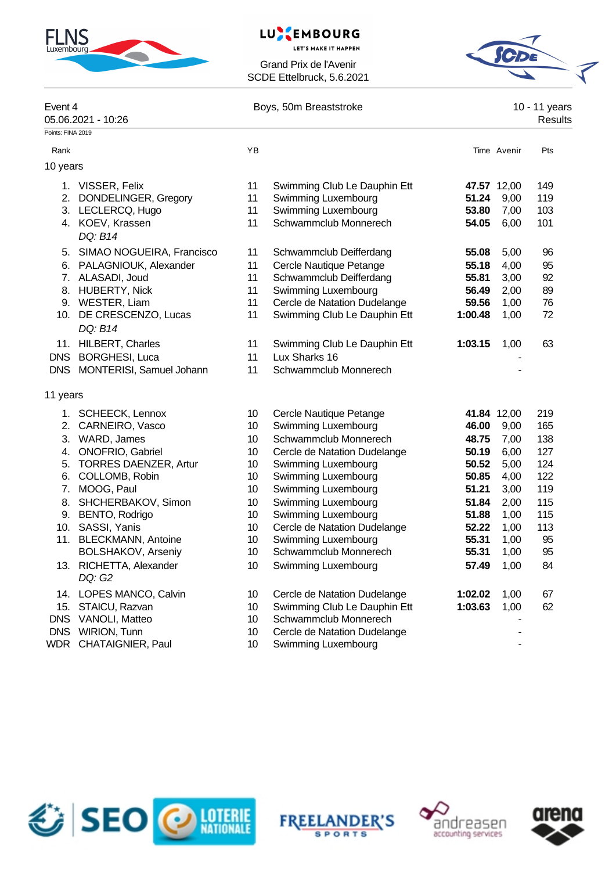

# LUXEMBOURG

**LET'S MAKE IT HAPPEN** 

Grand Prix de l'Avenir SCDE Ettelbruck, 5.6.2021



| Event 4<br>Points: FINA 2019 | 05.06.2021 - 10:26           |    | Boys, 50m Breaststroke       |         |             | 10 - 11 years<br>Results |
|------------------------------|------------------------------|----|------------------------------|---------|-------------|--------------------------|
|                              |                              |    |                              |         |             |                          |
| Rank                         |                              | YB |                              |         | Time Avenir | Pts                      |
| 10 years                     |                              |    |                              |         |             |                          |
|                              | 1. VISSER, Felix             | 11 | Swimming Club Le Dauphin Ett |         | 47.57 12,00 | 149                      |
|                              | 2. DONDELINGER, Gregory      | 11 | Swimming Luxembourg          | 51.24   | 9,00        | 119                      |
|                              | 3. LECLERCQ, Hugo            | 11 | Swimming Luxembourg          | 53.80   | 7,00        | 103                      |
|                              | 4. KOEV, Krassen             | 11 | Schwammclub Monnerech        | 54.05   | 6,00        | 101                      |
|                              | DQ: B14                      |    |                              |         |             |                          |
|                              | 5. SIMAO NOGUEIRA, Francisco | 11 | Schwammclub Deifferdang      | 55.08   | 5,00        | 96                       |
|                              | 6. PALAGNIOUK, Alexander     | 11 | Cercle Nautique Petange      | 55.18   | 4,00        | 95                       |
|                              | 7. ALASADI, Joud             | 11 | Schwammclub Deifferdang      | 55.81   | 3,00        | 92                       |
|                              | 8. HUBERTY, Nick             | 11 | Swimming Luxembourg          | 56.49   | 2,00        | 89                       |
|                              | 9. WESTER, Liam              | 11 | Cercle de Natation Dudelange | 59.56   | 1,00        | 76                       |
|                              | 10. DE CRESCENZO, Lucas      | 11 | Swimming Club Le Dauphin Ett | 1:00.48 | 1,00        | 72                       |
|                              | DQ: B14                      |    |                              |         |             |                          |
|                              | 11. HILBERT, Charles         | 11 | Swimming Club Le Dauphin Ett | 1:03.15 | 1,00        | 63                       |
| <b>DNS</b>                   | <b>BORGHESI, Luca</b>        | 11 | Lux Sharks 16                |         |             |                          |
|                              | DNS MONTERISI, Samuel Johann | 11 | Schwammclub Monnerech        |         |             |                          |
|                              |                              |    |                              |         |             |                          |
| 11 years                     |                              |    |                              |         |             |                          |
|                              | 1. SCHEECK, Lennox           | 10 | Cercle Nautique Petange      |         | 41.84 12,00 | 219                      |
| 2.                           | CARNEIRO, Vasco              | 10 | Swimming Luxembourg          | 46.00   | 9,00        | 165                      |
| 3.                           | WARD, James                  | 10 | Schwammclub Monnerech        | 48.75   | 7,00        | 138                      |
|                              | 4. ONOFRIO, Gabriel          | 10 | Cercle de Natation Dudelange | 50.19   | 6,00        | 127                      |
| 5.                           | <b>TORRES DAENZER, Artur</b> | 10 | Swimming Luxembourg          | 50.52   | 5,00        | 124                      |
| 6.                           | COLLOMB, Robin               | 10 | Swimming Luxembourg          | 50.85   | 4,00        | 122                      |
| 7.                           | MOOG, Paul                   | 10 | Swimming Luxembourg          | 51.21   | 3,00        | 119                      |
| 8.                           | SHCHERBAKOV, Simon           | 10 | Swimming Luxembourg          | 51.84   | 2,00        | 115                      |
|                              | 9. BENTO, Rodrigo            | 10 | Swimming Luxembourg          | 51.88   | 1,00        | 115                      |
|                              | 10. SASSI, Yanis             | 10 | Cercle de Natation Dudelange | 52.22   | 1,00        | 113                      |
|                              | 11. BLECKMANN, Antoine       | 10 | Swimming Luxembourg          | 55.31   | 1,00        | 95                       |
|                              | <b>BOLSHAKOV, Arseniy</b>    | 10 | Schwammclub Monnerech        | 55.31   | 1,00        | 95                       |
|                              | 13. RICHETTA, Alexander      | 10 | Swimming Luxembourg          | 57.49   | 1,00        | 84                       |
|                              | DQ: G2                       |    |                              |         |             |                          |
|                              | 14. LOPES MANCO, Calvin      | 10 | Cercle de Natation Dudelange | 1:02.02 | 1,00        | 67                       |
| 15.                          | STAICU, Razvan               | 10 | Swimming Club Le Dauphin Ett | 1:03.63 | 1,00        | 62                       |
|                              | DNS VANOLI, Matteo           | 10 | Schwammclub Monnerech        |         |             |                          |
|                              | DNS WIRION, Tunn             | 10 | Cercle de Natation Dudelange |         |             |                          |
| <b>WDR</b>                   | CHATAIGNIER, Paul            | 10 | Swimming Luxembourg          |         |             |                          |







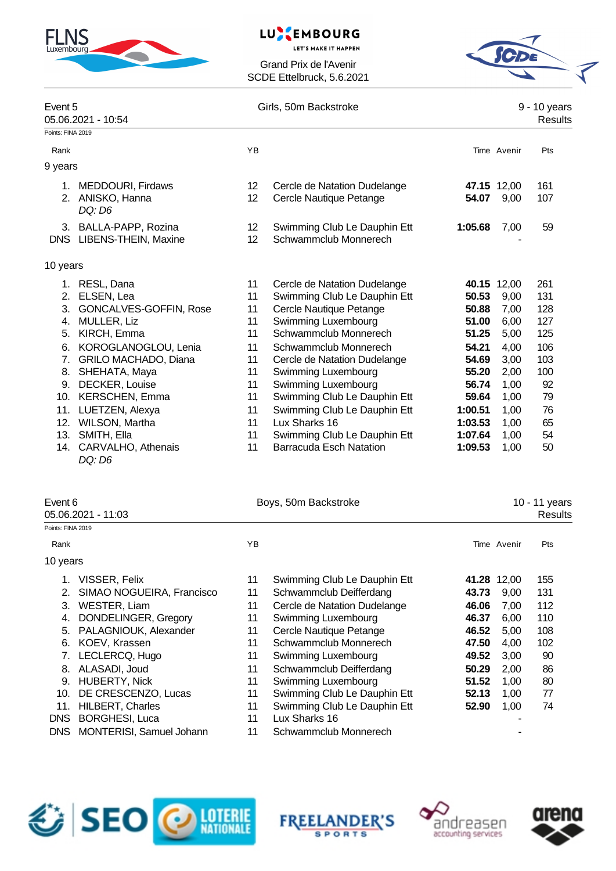

# LUXEMBOURG

**LET'S MAKE IT HAPPEN** 

Grand Prix de l'Avenir SCDE Ettelbruck, 5.6.2021



|                   | Event 5<br>05.06.2021 - 10:54 |                   | Girls, 50m Backstroke        |         |             |     |
|-------------------|-------------------------------|-------------------|------------------------------|---------|-------------|-----|
| Points: FINA 2019 |                               |                   |                              |         |             |     |
| Rank              |                               | YB                |                              |         | Time Avenir | Pts |
| 9 years           |                               |                   |                              |         |             |     |
| $1_{\cdot}$       | MEDDOURI, Firdaws             | 12                | Cercle de Natation Dudelange |         | 47.15 12,00 | 161 |
|                   | 2. ANISKO, Hanna<br>DQ: D6    | 12                | Cercle Nautique Petange      | 54.07   | 9,00        | 107 |
|                   | 3. BALLA-PAPP, Rozina         | $12 \overline{ }$ | Swimming Club Le Dauphin Ett | 1:05.68 | 7,00        | 59  |
| <b>DNS</b>        | LIBENS-THEIN, Maxine          | 12                | Schwammclub Monnerech        |         |             |     |
| 10 years          |                               |                   |                              |         |             |     |
| 1.                | RESL, Dana                    | 11                | Cercle de Natation Dudelange |         | 40.15 12,00 | 261 |
| 2.                | ELSEN, Lea                    | 11                | Swimming Club Le Dauphin Ett | 50.53   | 9,00        | 131 |
| 3.                | GONCALVES-GOFFIN, Rose        | 11                | Cercle Nautique Petange      | 50.88   | 7,00        | 128 |
| 4.                | MULLER, Liz                   | 11                | Swimming Luxembourg          | 51.00   | 6,00        | 127 |
| 5.                | KIRCH, Emma                   | 11                | Schwammclub Monnerech        | 51.25   | 5,00        | 125 |
| 6.                | KOROGLANOGLOU, Lenia          | 11                | Schwammclub Monnerech        | 54.21   | 4,00        | 106 |
| 7.                | <b>GRILO MACHADO, Diana</b>   | 11                | Cercle de Natation Dudelange | 54.69   | 3,00        | 103 |
| 8.                | SHEHATA, Maya                 | 11                | Swimming Luxembourg          | 55.20   | 2,00        | 100 |
| 9.                | DECKER, Louise                | 11                | Swimming Luxembourg          | 56.74   | 1,00        | 92  |
|                   | 10. KERSCHEN, Emma            | 11                | Swimming Club Le Dauphin Ett | 59.64   | 1,00        | 79  |
| 11.               | LUETZEN, Alexya               | 11                | Swimming Club Le Dauphin Ett | 1:00.51 | 1,00        | 76  |
| 12.               | WILSON, Martha                | 11                | Lux Sharks 16                | 1:03.53 | 1,00        | 65  |
| 13.               | SMITH, Ella                   | 11                | Swimming Club Le Dauphin Ett | 1:07.64 | 1,00        | 54  |
| 14.               | CARVALHO, Athenais            | 11                | Barracuda Esch Natation      | 1:09.53 | 1,00        | 50  |

|                   | Event 6                   |    | Boys, 50m Backstroke         |       | 10 - 11 years |         |  |
|-------------------|---------------------------|----|------------------------------|-------|---------------|---------|--|
|                   | 05.06.2021 - 11:03        |    |                              |       |               | Results |  |
| Points: FINA 2019 |                           |    |                              |       |               |         |  |
| Rank              |                           | ΥB |                              |       | Time Avenir   | Pts     |  |
| 10 years          |                           |    |                              |       |               |         |  |
| 1.                | VISSER, Felix             | 11 | Swimming Club Le Dauphin Ett | 41.28 | 12,00         | 155     |  |
| 2.                | SIMAO NOGUEIRA, Francisco | 11 | Schwammclub Deifferdang      | 43.73 | 9,00          | 131     |  |
| 3.                | WESTER, Liam              | 11 | Cercle de Natation Dudelange | 46.06 | 7,00          | 112     |  |
| 4.                | DONDELINGER, Gregory      | 11 | Swimming Luxembourg          | 46.37 | 6,00          | 110     |  |
| 5.                | PALAGNIOUK, Alexander     | 11 | Cercle Nautique Petange      | 46.52 | 5,00          | 108     |  |
| 6.                | KOEV, Krassen             | 11 | Schwammclub Monnerech        | 47.50 | 4,00          | 102     |  |
| 7.                | LECLERCQ, Hugo            | 11 | Swimming Luxembourg          | 49.52 | 3,00          | 90      |  |
| 8.                | ALASADI, Joud             | 11 | Schwammclub Deifferdang      | 50.29 | 2,00          | 86      |  |
| 9.                | <b>HUBERTY, Nick</b>      | 11 | Swimming Luxembourg          | 51.52 | 1,00          | 80      |  |
| 10.               | DE CRESCENZO, Lucas       | 11 | Swimming Club Le Dauphin Ett | 52.13 | 1,00          | 77      |  |
|                   | 11. HILBERT, Charles      | 11 | Swimming Club Le Dauphin Ett | 52.90 | 1,00          | 74      |  |
|                   | DNS BORGHESI, Luca        | 11 | Lux Sharks 16                |       |               |         |  |
|                   |                           |    |                              |       |               |         |  |

DNS MONTERISI, Samuel Johann 11 Schwammclub Monnerech

*DQ: D6*

SPO **ORDER** 

**FREELANDER'S SPORTS** 



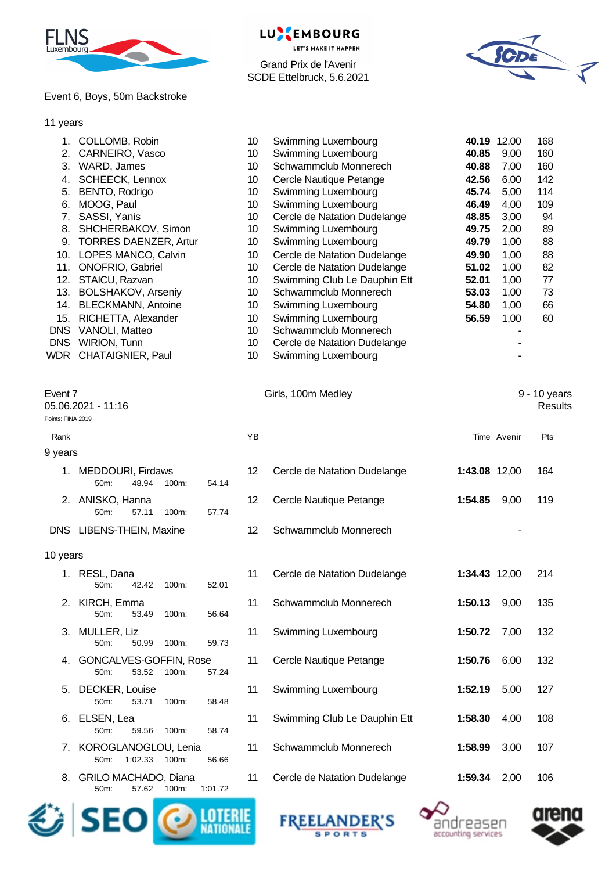





#### Event 6, Boys, 50m Backstroke

#### 11 years

|            | COLLOMB, Robin               | 10 | Swimming Luxembourg          |       | 40.19 12,00 | 168 |
|------------|------------------------------|----|------------------------------|-------|-------------|-----|
| 2.         | CARNEIRO, Vasco              | 10 | Swimming Luxembourg          | 40.85 | 9,00        | 160 |
| 3.         | WARD, James                  | 10 | Schwammclub Monnerech        | 40.88 | 7,00        | 160 |
| 4.         | <b>SCHEECK, Lennox</b>       | 10 | Cercle Nautique Petange      | 42.56 | 6,00        | 142 |
| 5.         | BENTO, Rodrigo               | 10 | Swimming Luxembourg          | 45.74 | 5.00        | 114 |
| 6.         | MOOG, Paul                   | 10 | Swimming Luxembourg          | 46.49 | 4,00        | 109 |
|            | SASSI, Yanis                 | 10 | Cercle de Natation Dudelange | 48.85 | 3,00        | 94  |
| 8.         | SHCHERBAKOV, Simon           | 10 | Swimming Luxembourg          | 49.75 | 2,00        | 89  |
| 9.         | <b>TORRES DAENZER, Artur</b> | 10 | Swimming Luxembourg          | 49.79 | 1,00        | 88  |
| 10.        | LOPES MANCO, Calvin          | 10 | Cercle de Natation Dudelange | 49.90 | 1,00        | 88  |
| 11.        | <b>ONOFRIO, Gabriel</b>      | 10 | Cercle de Natation Dudelange | 51.02 | 1,00        | 82  |
| 12.        | STAICU, Razvan               | 10 | Swimming Club Le Dauphin Ett | 52.01 | 1,00        | 77  |
| 13.        | <b>BOLSHAKOV, Arseniy</b>    | 10 | Schwammclub Monnerech        | 53.03 | 1,00        | 73  |
| 14.        | <b>BLECKMANN, Antoine</b>    | 10 | Swimming Luxembourg          | 54.80 | 1,00        | 66  |
| 15.        | RICHETTA, Alexander          | 10 | Swimming Luxembourg          | 56.59 | 1,00        | 60  |
| <b>DNS</b> | VANOLI, Matteo               | 10 | Schwammclub Monnerech        |       |             |     |
| <b>DNS</b> | <b>WIRION, Tunn</b>          | 10 | Cercle de Natation Dudelange |       |             |     |
| WDR        | <b>CHATAIGNIER, Paul</b>     | 10 | Swimming Luxembourg          |       |             |     |
|            |                              |    |                              |       |             |     |

| Event 7                  | 05.06.2021 - 11:16                       |          |         | Girls, 100m Medley |                              |               | 9 - 10 years<br><b>Results</b> |     |
|--------------------------|------------------------------------------|----------|---------|--------------------|------------------------------|---------------|--------------------------------|-----|
| Points: FINA 2019        |                                          |          |         |                    |                              |               |                                |     |
| Rank                     |                                          |          |         | YB                 |                              |               | Time Avenir                    | Pts |
| 9 years                  |                                          |          |         |                    |                              |               |                                |     |
|                          | 1. MEDDOURI, Firdaws<br>50m:<br>48.94    | 100m:    | 54.14   | 12                 | Cercle de Natation Dudelange | 1:43.08 12,00 |                                | 164 |
|                          | 2. ANISKO, Hanna<br>57.11<br>50m:        | 100m:    | 57.74   | 12                 | Cercle Nautique Petange      | 1:54.85       | 9,00                           | 119 |
| DNS LIBENS-THEIN, Maxine |                                          |          |         | 12                 | Schwammclub Monnerech        |               |                                |     |
| 10 years                 |                                          |          |         |                    |                              |               |                                |     |
|                          | 1. RESL, Dana<br>50m:<br>42.42           | 100m:    | 52.01   | 11                 | Cercle de Natation Dudelange | 1:34.43 12,00 |                                | 214 |
|                          | 2. KIRCH, Emma<br>$50m$ :<br>53.49       | $100m$ : | 56.64   | 11                 | Schwammclub Monnerech        | 1:50.13       | 9,00                           | 135 |
|                          | 3. MULLER, Liz<br>$50m$ :<br>50.99       | 100m:    | 59.73   | 11                 | Swimming Luxembourg          | 1:50.72       | 7,00                           | 132 |
| 4.                       | GONCALVES-GOFFIN, Rose<br>53.52<br>50m:  | $100m$ : | 57.24   | 11                 | Cercle Nautique Petange      | 1:50.76       | 6,00                           | 132 |
| 5.                       | DECKER, Louise<br>50m:<br>53.71          | 100m:    | 58.48   | 11                 | Swimming Luxembourg          | 1:52.19       | 5,00                           | 127 |
| 6.                       | ELSEN, Lea<br>50m:<br>59.56              | 100m:    | 58.74   | 11                 | Swimming Club Le Dauphin Ett | 1:58.30       | 4,00                           | 108 |
| 7.                       | KOROGLANOGLOU, Lenia<br>1:02.33<br>50m:  | 100m:    | 56.66   | 11                 | Schwammclub Monnerech        | 1:58.99       | 3,00                           | 107 |
|                          | 8. GRILO MACHADO, Diana<br>50m:<br>57.62 | 100m:    | 1:01.72 | 11                 | Cercle de Natation Dudelange | 1:59.34       | 2,00                           | 106 |







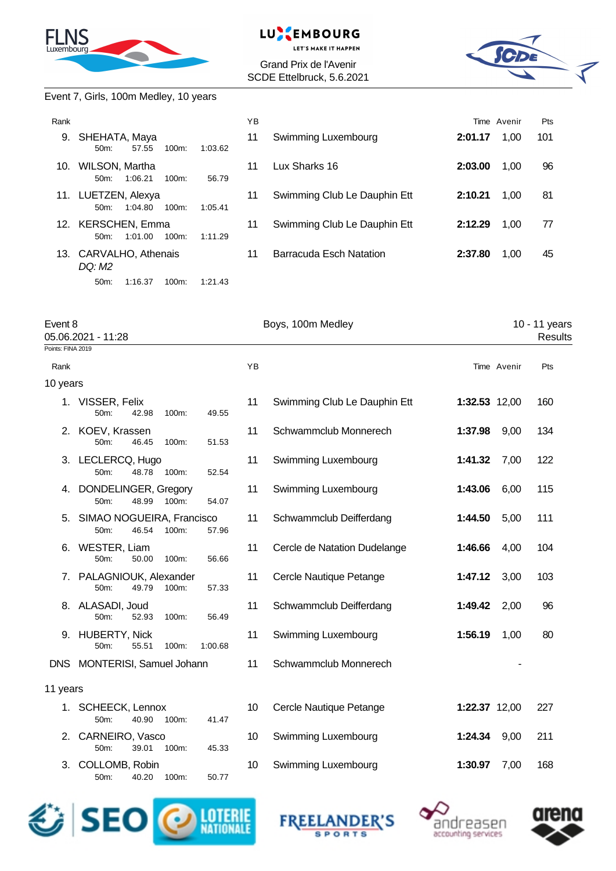

#### LU. **EMBOURG**

**LET'S MAKE IT HAPPEN** 

Grand Prix de l'Avenir SCDE Ettelbruck, 5.6.2021



#### Event 7, Girls, 100m Medley, 10 years

| Rank |                                                   | YB            |                              |         | Time Avenir | Pts |
|------|---------------------------------------------------|---------------|------------------------------|---------|-------------|-----|
| 9.   | SHEHATA, Maya<br>57.55<br>$100m$ :<br>$50m$ :     | 11<br>1:03.62 | Swimming Luxembourg          | 2:01.17 | 1.00        | 101 |
| 10.  | WILSON, Martha<br>1:06.21<br>$100m$ :<br>$50m$ :  | 11<br>56.79   | Lux Sharks 16                | 2:03.00 | 1,00        | 96  |
| 11.  | LUETZEN, Alexya<br>1:04.80<br>$100m$ :<br>$50m$ : | 11<br>1:05.41 | Swimming Club Le Dauphin Ett | 2:10.21 | 1.00        | 81  |
|      | 12. KERSCHEN, Emma<br>1:01.00<br>$100m$ :<br>50m  | 11<br>1:11.29 | Swimming Club Le Dauphin Ett | 2:12.29 | 1,00        | 77  |
|      | 13. CARVALHO, Athenais<br>DQ: M2                  | 11            | Barracuda Esch Natation      | 2:37.80 | 1.00        | 45  |
|      | 1:16.37<br>50 <sub>m</sub> :<br>100m:             | 1:21.43       |                              |         |             |     |

| Event 8  | 05.06.2021 - 11:28<br>Points: FINA 2019                    |       |         | Boys, 100m Medley |                              |               | 10 - 11 years<br>Results |     |
|----------|------------------------------------------------------------|-------|---------|-------------------|------------------------------|---------------|--------------------------|-----|
|          |                                                            |       |         |                   |                              |               |                          |     |
| Rank     |                                                            |       |         | YB                |                              |               | Time Avenir              | Pts |
| 10 years |                                                            |       |         |                   |                              |               |                          |     |
|          | 1. VISSER, Felix<br>50 <sub>m</sub> :<br>42.98             | 100m: | 49.55   | 11                | Swimming Club Le Dauphin Ett | 1:32.53 12,00 |                          | 160 |
|          | 2. KOEV, Krassen<br>50 <sub>m</sub> :<br>46.45             | 100m: | 51.53   | 11                | Schwammclub Monnerech        | 1:37.98       | 9,00                     | 134 |
|          | 3. LECLERCQ, Hugo<br>48.78<br>50m:                         | 100m: | 52.54   | 11                | Swimming Luxembourg          | 1:41.32       | 7,00                     | 122 |
|          | 4. DONDELINGER, Gregory<br>50m:<br>48.99                   | 100m: | 54.07   | 11                | Swimming Luxembourg          | 1:43.06       | 6,00                     | 115 |
|          | 5. SIMAO NOGUEIRA, Francisco<br>46.54<br>50 <sub>m</sub> : | 100m: | 57.96   | 11                | Schwammclub Deifferdang      | 1:44.50       | 5,00                     | 111 |
|          | 6. WESTER, Liam<br>50m:<br>50.00                           | 100m: | 56.66   | 11                | Cercle de Natation Dudelange | 1:46.66       | 4,00                     | 104 |
|          | 7. PALAGNIOUK, Alexander<br>$50m$ :<br>49.79               | 100m: | 57.33   | 11                | Cercle Nautique Petange      | 1:47.12       | 3,00                     | 103 |
|          | 8. ALASADI, Joud<br>52.93<br>50 <sub>m</sub> :             | 100m: | 56.49   | 11                | Schwammclub Deifferdang      | 1:49.42       | 2,00                     | 96  |
|          | 9. HUBERTY, Nick<br>50m:<br>55.51                          | 100m: | 1:00.68 | 11                | Swimming Luxembourg          | 1:56.19       | 1,00                     | 80  |
|          | DNS MONTERISI, Samuel Johann                               |       |         | 11                | Schwammclub Monnerech        |               |                          |     |
| 11 years |                                                            |       |         |                   |                              |               |                          |     |
|          | 1. SCHEECK, Lennox<br>40.90<br>50m:                        | 100m: | 41.47   | 10                | Cercle Nautique Petange      | 1:22.37 12,00 |                          | 227 |
|          | 2. CARNEIRO, Vasco<br>39.01<br>50m:                        | 100m: | 45.33   | 10                | Swimming Luxembourg          | 1:24.34       | 9,00                     | 211 |
| 3.       | COLLOMB, Robin<br>50m:<br>40.20                            | 100m: | 50.77   | 10                | Swimming Luxembourg          | 1:30.97       | 7,00                     | 168 |







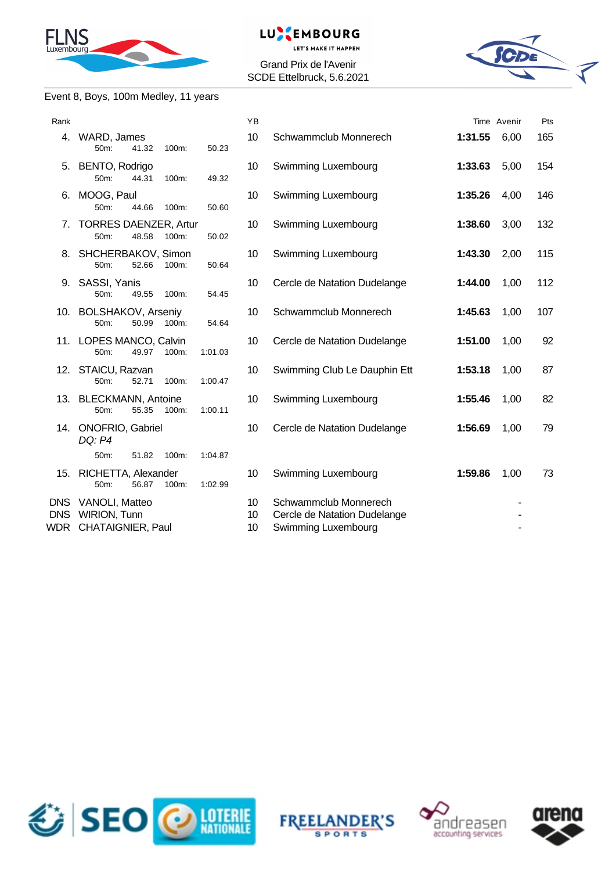

#### EMBOURG **LUNK**

**LET'S MAKE IT HAPPEN** 

Grand Prix de l'Avenir SCDE Ettelbruck, 5.6.2021



### Event 8, Boys, 100m Medley, 11 years

| Rank                      |                                                            |         | YB             |                                                                              |         | Time Avenir | Pts |
|---------------------------|------------------------------------------------------------|---------|----------------|------------------------------------------------------------------------------|---------|-------------|-----|
| 4.                        | WARD, James<br>50m:<br>41.32<br>100m:                      | 50.23   | 10             | Schwammclub Monnerech                                                        | 1:31.55 | 6,00        | 165 |
| 5.                        | BENTO, Rodrigo<br>50m:<br>44.31<br>100m:                   | 49.32   | 10             | Swimming Luxembourg                                                          | 1:33.63 | 5,00        | 154 |
| 6.                        | MOOG, Paul<br>50m:<br>44.66<br>100m:                       | 50.60   | 10             | Swimming Luxembourg                                                          | 1:35.26 | 4,00        | 146 |
| 7.                        | <b>TORRES DAENZER, Artur</b><br>48.58<br>100m:<br>50m:     | 50.02   | 10             | Swimming Luxembourg                                                          | 1:38.60 | 3,00        | 132 |
| 8.                        | SHCHERBAKOV, Simon<br>52.66<br>50m:<br>100m:               | 50.64   | 10             | Swimming Luxembourg                                                          | 1:43.30 | 2,00        | 115 |
| 9.                        | SASSI, Yanis<br>50m:<br>49.55<br>100m:                     | 54.45   | 10             | Cercle de Natation Dudelange                                                 | 1:44.00 | 1,00        | 112 |
|                           | 10. BOLSHAKOV, Arseniy<br>50m:<br>50.99<br>100m:           | 54.64   | 10             | Schwammclub Monnerech                                                        | 1:45.63 | 1,00        | 107 |
|                           | 11. LOPES MANCO, Calvin<br>49.97<br>100m:<br>50m:          | 1:01.03 | 10             | Cercle de Natation Dudelange                                                 | 1:51.00 | 1,00        | 92  |
|                           | 12. STAICU, Razvan<br>52.71<br>100m:<br>50m:               | 1:00.47 | 10             | Swimming Club Le Dauphin Ett                                                 | 1:53.18 | 1,00        | 87  |
|                           | 13. BLECKMANN, Antoine<br>100m:<br>50m:<br>55.35           | 1:00.11 | 10             | Swimming Luxembourg                                                          | 1:55.46 | 1,00        | 82  |
|                           | 14. ONOFRIO, Gabriel<br><b>DQ: P4</b>                      |         | 10             | Cercle de Natation Dudelange                                                 | 1:56.69 | 1,00        | 79  |
|                           | 50m:<br>51.82<br>100m:                                     | 1:04.87 |                |                                                                              |         |             |     |
|                           | 15. RICHETTA, Alexander<br>56.87<br>50m:<br>100m:          | 1:02.99 | 10             | Swimming Luxembourg                                                          | 1:59.86 | 1,00        | 73  |
| DNS.<br><b>DNS</b><br>WDR | VANOLI, Matteo<br><b>WIRION, Tunn</b><br>CHATAIGNIER, Paul |         | 10<br>10<br>10 | Schwammclub Monnerech<br>Cercle de Natation Dudelange<br>Swimming Luxembourg |         |             |     |







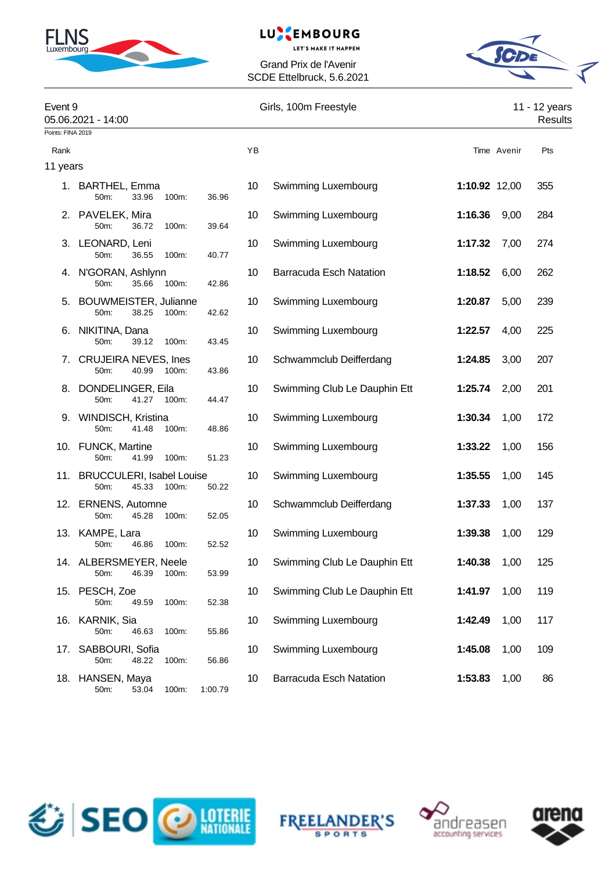

# LUXEMBOURG

**LET'S MAKE IT HAPPEN** 

Grand Prix de l'Avenir SCDE Ettelbruck, 5.6.2021



| Event 9           | 05.06.2021 - 14:00                                      |         | Girls, 100m Freestyle |                                | 11 - 12 years<br>Results |             |     |
|-------------------|---------------------------------------------------------|---------|-----------------------|--------------------------------|--------------------------|-------------|-----|
| Points: FINA 2019 |                                                         |         |                       |                                |                          |             |     |
| Rank              |                                                         |         | YB                    |                                |                          | Time Avenir | Pts |
| 11 years          |                                                         |         |                       |                                |                          |             |     |
|                   | 1. BARTHEL, Emma<br>50m:<br>33.96<br>100m:              | 36.96   | 10                    | Swimming Luxembourg            | 1:10.92 12,00            |             | 355 |
|                   | 2. PAVELEK, Mira<br>50m:<br>36.72<br>100m:              | 39.64   | 10                    | Swimming Luxembourg            | 1:16.36                  | 9,00        | 284 |
|                   | 3. LEONARD, Leni<br>50m:<br>36.55<br>100m:              | 40.77   | 10                    | Swimming Luxembourg            | 1:17.32                  | 7,00        | 274 |
|                   | 4. N'GORAN, Ashlynn<br>35.66<br>50m:<br>100m:           | 42.86   | 10                    | <b>Barracuda Esch Natation</b> | 1:18.52                  | 6,00        | 262 |
| 5.                | <b>BOUWMEISTER, Julianne</b><br>50m:<br>38.25<br>100m:  | 42.62   | 10                    | Swimming Luxembourg            | 1:20.87                  | 5,00        | 239 |
| 6.                | NIKITINA, Dana<br>50m:<br>39.12<br>100m:                | 43.45   | 10                    | Swimming Luxembourg            | 1:22.57                  | 4,00        | 225 |
|                   | 7. CRUJEIRA NEVES, Ines<br>40.99<br>50m:<br>100m:       | 43.86   | 10                    | Schwammclub Deifferdang        | 1:24.85                  | 3,00        | 207 |
|                   | 8. DONDELINGER, Eila<br>50m:<br>41.27<br>100m:          | 44.47   | 10                    | Swimming Club Le Dauphin Ett   | 1:25.74                  | 2,00        | 201 |
|                   | 9. WINDISCH, Kristina<br>50m:<br>41.48<br>100m:         | 48.86   | 10                    | Swimming Luxembourg            | 1:30.34                  | 1,00        | 172 |
|                   | 10. FUNCK, Martine<br>50m:<br>41.99<br>100m:            | 51.23   | 10                    | Swimming Luxembourg            | 1:33.22                  | 1,00        | 156 |
|                   | 11. BRUCCULERI, Isabel Louise<br>50m:<br>45.33<br>100m: | 50.22   | 10                    | Swimming Luxembourg            | 1:35.55                  | 1,00        | 145 |
|                   | 12. ERNENS, Automne<br>50m:<br>45.28<br>100m:           | 52.05   | 10                    | Schwammclub Deifferdang        | 1:37.33                  | 1,00        | 137 |
|                   | 13. KAMPE, Lara<br>50m:<br>46.86<br>100m:               | 52.52   | 10                    | Swimming Luxembourg            | 1:39.38                  | 1,00        | 129 |
|                   | 14. ALBERSMEYER, Neele<br>50m:<br>46.39<br>100m:        | 53.99   | 10 <sup>°</sup>       | Swimming Club Le Dauphin Ett   | 1:40.38                  | 1,00        | 125 |
| 15.               | PESCH, Zoe<br>49.59<br>100m:<br>50m:                    | 52.38   | 10                    | Swimming Club Le Dauphin Ett   | 1:41.97                  | 1,00        | 119 |
|                   | 16. KARNIK, Sia<br>50m:<br>46.63<br>100m:               | 55.86   | 10                    | Swimming Luxembourg            | 1:42.49                  | 1,00        | 117 |
| 17.               | SABBOURI, Sofia<br>50m:<br>48.22<br>100m:               | 56.86   | 10                    | Swimming Luxembourg            | 1:45.08                  | 1,00        | 109 |
| 18.               | HANSEN, Maya<br>50m:<br>53.04<br>100m:                  | 1:00.79 | 10                    | <b>Barracuda Esch Natation</b> | 1:53.83                  | 1,00        | 86  |







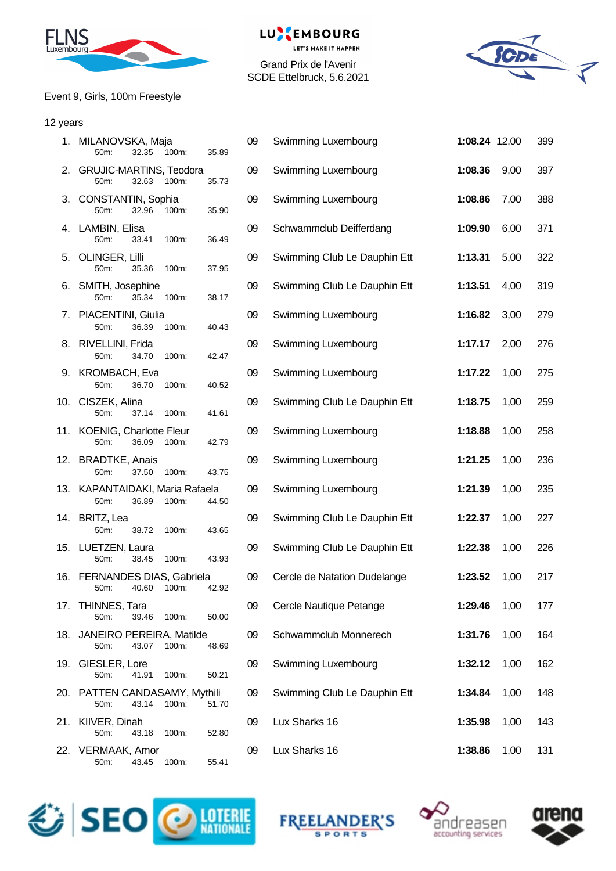



**LET'S MAKE IT HAPPEN** Grand Prix de l'Avenir

SCDE Ettelbruck, 5.6.2021



## Event 9, Girls, 100m Freestyle

#### 12 years

|     | 1. MILANOVSKA, Maja<br>50m:<br>32.35<br>100m:             | 09<br>35.89 | Swimming Luxembourg          | 1:08.24 12,00 |      | 399 |
|-----|-----------------------------------------------------------|-------------|------------------------------|---------------|------|-----|
|     | 2. GRUJIC-MARTINS, Teodora<br>50m:<br>32.63<br>100m:      | 09<br>35.73 | Swimming Luxembourg          | 1:08.36       | 9,00 | 397 |
|     | 3. CONSTANTIN, Sophia<br>50m:<br>32.96<br>100m:           | 09<br>35.90 | Swimming Luxembourg          | 1:08.86       | 7,00 | 388 |
|     | 4. LAMBIN, Elisa<br>50m:<br>33.41<br>100m:                | 09<br>36.49 | Schwammclub Deifferdang      | 1:09.90       | 6,00 | 371 |
|     | 5. OLINGER, Lilli<br>50m:<br>35.36<br>100m:               | 09<br>37.95 | Swimming Club Le Dauphin Ett | 1:13.31       | 5,00 | 322 |
|     | 6. SMITH, Josephine<br>50m:<br>35.34<br>100m:             | 09<br>38.17 | Swimming Club Le Dauphin Ett | 1:13.51       | 4,00 | 319 |
|     | 7. PIACENTINI, Giulia<br>36.39<br>50m:<br>100m:           | 09<br>40.43 | Swimming Luxembourg          | 1:16.82       | 3,00 | 279 |
|     | 8. RIVELLINI, Frida<br>34.70<br>100m:<br>50m:             | 09<br>42.47 | Swimming Luxembourg          | 1:17.17       | 2,00 | 276 |
|     | 9. KROMBACH, Eva<br>50m:<br>36.70<br>100m:                | 09<br>40.52 | Swimming Luxembourg          | 1:17.22       | 1,00 | 275 |
|     | 10. CISZEK, Alina<br>50m:<br>37.14<br>100m:               | 09<br>41.61 | Swimming Club Le Dauphin Ett | 1:18.75       | 1,00 | 259 |
|     | 11. KOENIG, Charlotte Fleur<br>50m:<br>36.09<br>100m:     | 09<br>42.79 | Swimming Luxembourg          | 1:18.88       | 1,00 | 258 |
|     | 12. BRADTKE, Anais<br>50m:<br>37.50<br>100m:              | 09<br>43.75 | Swimming Luxembourg          | 1:21.25       | 1,00 | 236 |
|     | 13. KAPANTAIDAKI, Maria Rafaela<br>50m:<br>36.89<br>100m: | 09<br>44.50 | Swimming Luxembourg          | 1:21.39       | 1,00 | 235 |
|     | 14. BRITZ, Lea<br>50m:<br>38.72<br>100m:                  | 09<br>43.65 | Swimming Club Le Dauphin Ett | 1:22.37       | 1,00 | 227 |
|     | 15. LUETZEN, Laura<br>50m:<br>38.45<br>100m:              | 09<br>43.93 | Swimming Club Le Dauphin Ett | 1:22.38       | 1,00 | 226 |
|     | 16. FERNANDES DIAS, Gabriela<br>50m:<br>40.60<br>100m:    | 09<br>42.92 | Cercle de Natation Dudelange | 1:23.52       | 1,00 | 217 |
|     | 17. THINNES, Tara<br>50m:<br>39.46<br>100m:               | 09<br>50.00 | Cercle Nautique Petange      | 1:29.46       | 1,00 | 177 |
|     | 18. JANEIRO PEREIRA, Matilde<br>43.07<br>100m:<br>50m:    | 09<br>48.69 | Schwammclub Monnerech        | 1:31.76       | 1,00 | 164 |
| 19. | GIESLER, Lore<br>50m:<br>41.91<br>100m:                   | 09<br>50.21 | Swimming Luxembourg          | 1:32.12       | 1,00 | 162 |
|     | 20. PATTEN CANDASAMY, Mythili<br>50m:<br>43.14<br>100m:   | 09<br>51.70 | Swimming Club Le Dauphin Ett | 1:34.84       | 1,00 | 148 |
| 21. | KIIVER, Dinah<br>50m:<br>43.18<br>100m:                   | 09<br>52.80 | Lux Sharks 16                | 1:35.98       | 1,00 | 143 |
|     | 22. VERMAAK, Amor<br>50m:<br>43.45<br>100m:               | 09<br>55.41 | Lux Sharks 16                | 1:38.86       | 1,00 | 131 |







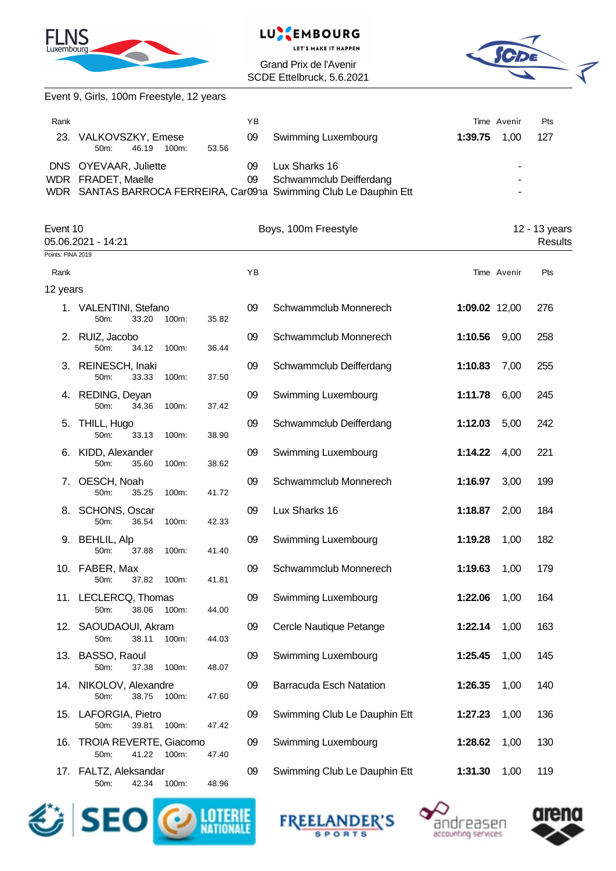



Grand Prix de l'Avenir SCDE Ettelbruck, 5.6.2021



|                   | Event 9, Girls, 100m Freestyle, 12 years                |             |                                                                                                               |               |             |                          |
|-------------------|---------------------------------------------------------|-------------|---------------------------------------------------------------------------------------------------------------|---------------|-------------|--------------------------|
| Rank              |                                                         | YB          |                                                                                                               |               | Time Avenir | Pts                      |
|                   | 23. VALKOVSZKY, Emese<br>50m:<br>46.19<br>100m:         | 09<br>53.56 | Swimming Luxembourg                                                                                           | 1:39.75       | 1,00        | 127                      |
|                   | DNS OYEVAAR, Juliette<br>WDR FRADET, Maelle             | 09<br>09    | Lux Sharks 16<br>Schwammclub Deifferdang<br>WDR SANTAS BARROCA FERREIRA, Car091a Swimming Club Le Dauphin Ett |               |             |                          |
| Event 10          | 05.06.2021 - 14:21                                      |             | Boys, 100m Freestyle                                                                                          |               |             | 12 - 13 years<br>Results |
| Points: FINA 2019 |                                                         |             |                                                                                                               |               |             |                          |
| Rank              |                                                         | YB          |                                                                                                               |               | Time Avenir | Pts                      |
| 12 years          |                                                         |             |                                                                                                               |               |             |                          |
|                   | 1. VALENTINI, Stefano<br>33.20<br>50m:<br>100m:         | 09<br>35.82 | Schwammclub Monnerech                                                                                         | 1:09.02 12,00 |             | 276                      |
|                   | 2. RUIZ, Jacobo<br>50m:<br>34.12<br>100m:               | 09<br>36.44 | Schwammclub Monnerech                                                                                         | 1:10.56       | 9,00        | 258                      |
|                   | 3. REINESCH, Inaki<br>33.33<br>100m:<br>50m:            | 09<br>37.50 | Schwammclub Deifferdang                                                                                       | 1:10.83       | 7,00        | 255                      |
|                   | 4. REDING, Deyan<br>100m:<br>50m:<br>34.36              | 09<br>37.42 | Swimming Luxembourg                                                                                           | 1:11.78       | 6,00        | 245                      |
| 5.                | THILL, Hugo<br>50m:<br>33.13<br>100m:                   | 09<br>38.90 | Schwammclub Deifferdang                                                                                       | 1:12.03       | 5,00        | 242                      |
| 6.                | KIDD, Alexander<br>50m:<br>35.60<br>100m:               | 09<br>38.62 | Swimming Luxembourg                                                                                           | 1:14.22       | 4,00        | 221                      |
| 7.                | OESCH, Noah<br>35.25<br>50m:<br>100m:                   | 09<br>41.72 | Schwammclub Monnerech                                                                                         | 1:16.97       | 3,00        | 199                      |
| 8.                | SCHONS, Oscar<br>50m:<br>36.54<br>100m:                 | 09<br>42.33 | Lux Sharks 16                                                                                                 | 1:18.87       | 2,00        | 184                      |
| 9.                | <b>BEHLIL, Alp</b><br>50m:<br>37.88<br>100m:            | 09<br>41.40 | Swimming Luxembourg                                                                                           | 1:19.28       | 1,00        | 182                      |
|                   | 10. FABER, Max<br>37.82<br>50m:<br>100m:                | 09<br>41.81 | Schwammclub Monnerech                                                                                         | 1:19.63       | 1,00        | 179                      |
|                   | 11. LECLERCQ, Thomas<br>50m:<br>38.06<br>100m:          | 09<br>44.00 | Swimming Luxembourg                                                                                           | 1:22.06       | 1,00        | 164                      |
|                   | 12. SAOUDAOUI, Akram<br>50m:<br>38.11<br>100m:          | 09<br>44.03 | Cercle Nautique Petange                                                                                       | 1:22.14       | 1,00        | 163                      |
| 13.               | BASSO, Raoul<br>50m:<br>37.38<br>100m:                  | 09<br>48.07 | Swimming Luxembourg                                                                                           | 1:25.45       | 1,00        | 145                      |
|                   | 14. NIKOLOV, Alexandre<br>38.75<br>100m:<br>50m:        | 09<br>47.60 | Barracuda Esch Natation                                                                                       | 1:26.35       | 1,00        | 140                      |
|                   | 15. LAFORGIA, Pietro<br>50m:<br>39.81<br>100m:          | 09<br>47.42 | Swimming Club Le Dauphin Ett                                                                                  | 1:27.23       | 1,00        | 136                      |
| 16.               | <b>TROIA REVERTE, Giacomo</b><br>50m:<br>41.22<br>100m: | 09<br>47.40 | Swimming Luxembourg                                                                                           | 1:28.62       | 1,00        | 130                      |
|                   | 17. FALTZ, Aleksandar<br>50m:<br>42.34<br>100m:         | 09<br>48.96 | Swimming Club Le Dauphin Ett                                                                                  | 1:31.30       | 1,00        | 119                      |







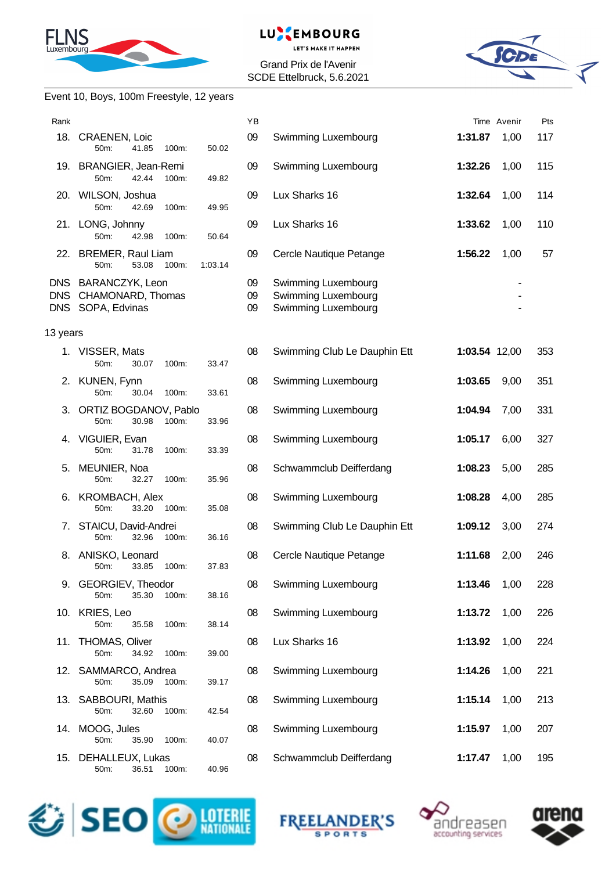



Grand Prix de l'Avenir SCDE Ettelbruck, 5.6.2021



#### Event 10, Boys, 100m Freestyle, 12 years

| Rank     |                                                                   |         | YB             |                                                                   |               | Time Avenir | Pts |
|----------|-------------------------------------------------------------------|---------|----------------|-------------------------------------------------------------------|---------------|-------------|-----|
|          | 18. CRAENEN, Loic<br>41.85<br>100m:<br>50m:                       | 50.02   | 09             | Swimming Luxembourg                                               | 1:31.87       | 1,00        | 117 |
|          | 19. BRANGIER, Jean-Remi<br>42.44<br>50m:<br>100m:                 | 49.82   | 09             | Swimming Luxembourg                                               | 1:32.26       | 1,00        | 115 |
|          | 20. WILSON, Joshua<br>50m:<br>42.69<br>100m:                      | 49.95   | 09             | Lux Sharks 16                                                     | 1:32.64       | 1,00        | 114 |
|          | 21. LONG, Johnny<br>42.98<br>50m:<br>100m:                        | 50.64   | 09             | Lux Sharks 16                                                     | 1:33.62       | 1,00        | 110 |
|          | 22. BREMER, Raul Liam<br>53.08<br>100m:<br>50m:                   | 1:03.14 | 09             | Cercle Nautique Petange                                           | 1:56.22       | 1,00        | 57  |
|          | DNS BARANCZYK, Leon<br>DNS CHAMONARD, Thomas<br>DNS SOPA, Edvinas |         | 09<br>09<br>09 | Swimming Luxembourg<br>Swimming Luxembourg<br>Swimming Luxembourg |               |             |     |
| 13 years |                                                                   |         |                |                                                                   |               |             |     |
|          | 1. VISSER, Mats<br>50m:<br>30.07<br>100m:                         | 33.47   | 08             | Swimming Club Le Dauphin Ett                                      | 1:03.54 12,00 |             | 353 |
|          | 2. KUNEN, Fynn<br>50m:<br>30.04<br>100m:                          | 33.61   | 08             | Swimming Luxembourg                                               | 1:03.65       | 9,00        | 351 |
|          | 3. ORTIZ BOGDANOV, Pablo<br>50m:<br>30.98<br>100m:                | 33.96   | 08             | Swimming Luxembourg                                               | 1:04.94       | 7,00        | 331 |
|          | 4. VIGUIER, Evan<br>50m:<br>31.78<br>100m:                        | 33.39   | 08             | Swimming Luxembourg                                               | 1:05.17       | 6,00        | 327 |
| 5.       | MEUNIER, Noa<br>32.27<br>50m:<br>100m:                            | 35.96   | 08             | Schwammclub Deifferdang                                           | 1:08.23       | 5,00        | 285 |
|          | 6. KROMBACH, Alex<br>33.20<br>50m:<br>100m:                       | 35.08   | 08             | Swimming Luxembourg                                               | 1:08.28       | 4,00        | 285 |
| 7.       | STAICU, David-Andrei<br>50m:<br>32.96<br>100m:                    | 36.16   | 08             | Swimming Club Le Dauphin Ett                                      | 1:09.12       | 3,00        | 274 |
| 8.       | ANISKO, Leonard<br>33.85<br>100m:<br>50m:                         | 37.83   | 08             | Cercle Nautique Petange                                           | 1:11.68       | 2,00        | 246 |
|          | 9. GEORGIEV, Theodor<br>50m:<br>35.30<br>100m:                    | 38.16   | 08             | Swimming Luxembourg                                               | 1:13.46       | 1,00        | 228 |
|          | 10. KRIES, Leo<br>50m:<br>35.58<br>100m:                          | 38.14   | 08             | Swimming Luxembourg                                               | 1:13.72       | 1,00        | 226 |
| 11.      | <b>THOMAS, Oliver</b><br>50m:<br>34.92<br>100m:                   | 39.00   | 08             | Lux Sharks 16                                                     | 1:13.92       | 1,00        | 224 |
|          | 12. SAMMARCO, Andrea<br>35.09<br>50m:<br>100m:                    | 39.17   | 08             | Swimming Luxembourg                                               | 1:14.26       | 1,00        | 221 |
|          | 13. SABBOURI, Mathis<br>50m:<br>32.60<br>100m:                    | 42.54   | 08             | Swimming Luxembourg                                               | 1:15.14       | 1,00        | 213 |
|          | 14. MOOG, Jules<br>50m:<br>35.90<br>100m:                         | 40.07   | 08             | Swimming Luxembourg                                               | 1:15.97       | 1,00        | 207 |
|          | 15. DEHALLEUX, Lukas<br>50m:<br>36.51<br>100m:                    | 40.96   | 08             | Schwammclub Deifferdang                                           | 1:17.47       | 1,00        | 195 |







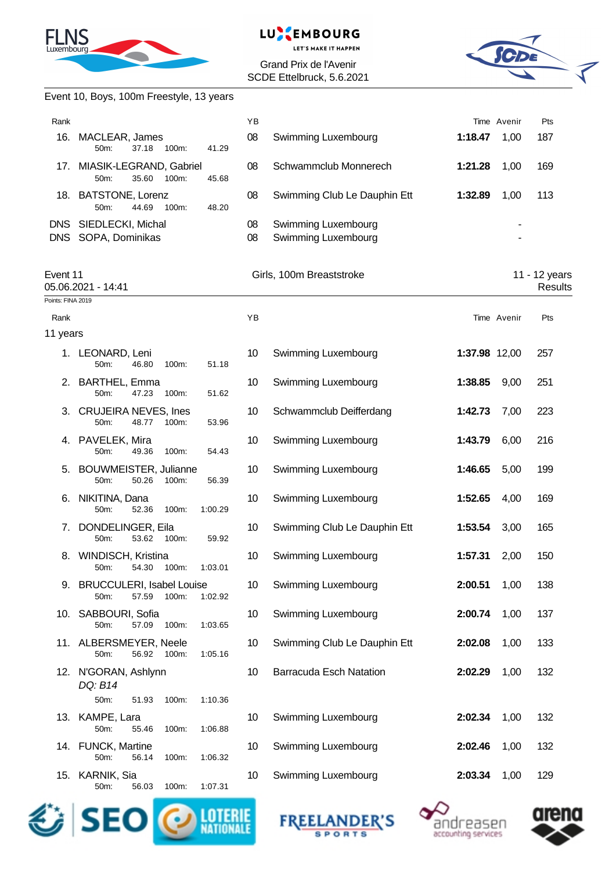

#### EMBOURG LU.

**LET'S MAKE IT HAPPEN** 

Grand Prix de l'Avenir SCDE Ettelbruck, 5.6.2021



|                   | Event 10, Boys, 100m Freestyle, 13 years                              |             |                                            |               |             |                                 |
|-------------------|-----------------------------------------------------------------------|-------------|--------------------------------------------|---------------|-------------|---------------------------------|
| Rank              |                                                                       | YB          |                                            |               | Time Avenir | Pts                             |
| 16.               | MACLEAR, James<br>50m:<br>37.18 100m:                                 | 08<br>41.29 | Swimming Luxembourg                        | 1:18.47       | 1,00        | 187                             |
|                   | 17. MIASIK-LEGRAND, Gabriel<br>50m:<br>35.60<br>100m:                 | 08<br>45.68 | Schwammclub Monnerech                      | 1:21.28       | 1,00        | 169                             |
|                   | 18. BATSTONE, Lorenz<br>50m:<br>44.69<br>100m:                        | 08<br>48.20 | Swimming Club Le Dauphin Ett               | 1:32.89       | 1,00        | 113                             |
|                   | DNS SIEDLECKI, Michal<br>DNS SOPA, Dominikas                          | 08<br>08    | Swimming Luxembourg<br>Swimming Luxembourg |               |             |                                 |
| Event 11          | 05.06.2021 - 14:41                                                    |             | Girls, 100m Breaststroke                   |               |             | 11 - 12 years<br><b>Results</b> |
| Points: FINA 2019 |                                                                       |             |                                            |               |             |                                 |
| Rank<br>11 years  |                                                                       | YB          |                                            |               | Time Avenir | Pts                             |
|                   | 1. LEONARD, Leni<br>50m:<br>46.80<br>100m:                            | 10<br>51.18 | Swimming Luxembourg                        | 1:37.98 12,00 |             | 257                             |
|                   | 2. BARTHEL, Emma<br>50m:<br>47.23<br>100m:                            | 10<br>51.62 | Swimming Luxembourg                        | 1:38.85       | 9,00        | 251                             |
|                   | 3. CRUJEIRA NEVES, Ines<br>50 <sub>m</sub> :<br>48.77<br>100m:        | 10<br>53.96 | Schwammclub Deifferdang                    | 1:42.73       | 7,00        | 223                             |
|                   | 4. PAVELEK, Mira<br>50m:<br>49.36<br>100m:                            | 10<br>54.43 | Swimming Luxembourg                        | 1:43.79       | 6,00        | 216                             |
|                   | 5. BOUWMEISTER, Julianne<br>50m:<br>50.26<br>100m:                    | 10<br>56.39 | Swimming Luxembourg                        | 1:46.65       | 5,00        | 199                             |
| 6.                | NIKITINA, Dana<br>50m:<br>52.36<br>100m:<br>1:00.29                   | 10          | Swimming Luxembourg                        | 1:52.65       | 4,00        | 169                             |
|                   | 7. DONDELINGER, Eila<br>53.62<br>100m:<br>50m:                        | 10<br>59.92 | Swimming Club Le Dauphin Ett               | 1:53.54       | 3,00        | 165                             |
| 8.                | WINDISCH, Kristina<br>54.30<br>50m:<br>100m:<br>1:03.01               | 10          | Swimming Luxembourg                        | 1:57.31       | 2,00        | 150                             |
| 9.                | <b>BRUCCULERI, Isabel Louise</b><br>50m:<br>57.59<br>100m:<br>1:02.92 | 10          | Swimming Luxembourg                        | 2:00.51       | 1,00        | 138                             |
|                   | 10. SABBOURI, Sofia<br>1:03.65<br>50m:<br>57.09<br>100m:              | 10          | Swimming Luxembourg                        | 2:00.74       | 1,00        | 137                             |
|                   | 11. ALBERSMEYER, Neele<br>56.92<br>100m:<br>1:05.16<br>50m:           | 10          | Swimming Club Le Dauphin Ett               | 2:02.08       | 1,00        | 133                             |
|                   | 12. N'GORAN, Ashlynn<br>DQ: B14<br>50m:<br>1:10.36<br>51.93<br>100m:  | 10          | <b>Barracuda Esch Natation</b>             | 2:02.29       | 1,00        | 132                             |
|                   | 13. KAMPE, Lara<br>50m:<br>1:06.88<br>55.46<br>100m:                  | 10          | Swimming Luxembourg                        | 2:02.34       | 1,00        | 132                             |
|                   | 14. FUNCK, Martine<br>50m:<br>56.14<br>100m:<br>1:06.32               | 10          | Swimming Luxembourg                        | 2:02.46       | 1,00        | 132                             |
|                   | 15. KARNIK, Sia<br>1:07.31<br>50m:<br>100m:<br>56.03                  | 10          | Swimming Luxembourg                        | 2:03.34       | 1,00        | 129                             |







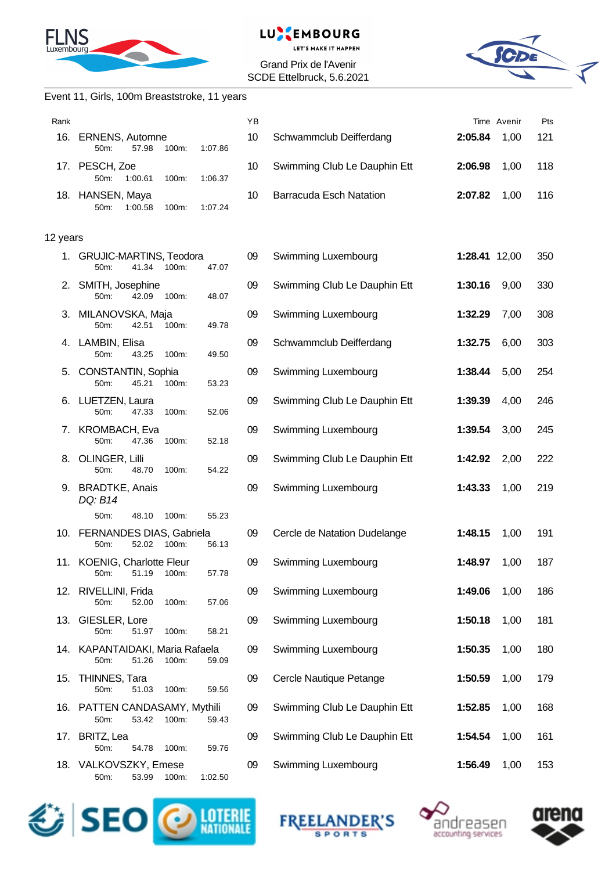



#### Grand Prix de l'Avenir SCDE Ettelbruck, 5.6.2021



#### Event 11, Girls, 100m Breaststroke, 11 years

| Rank     |                                                                    | YB |                                |               | Time Avenir | Pts |
|----------|--------------------------------------------------------------------|----|--------------------------------|---------------|-------------|-----|
| 16.      | <b>ERNENS, Automne</b><br>57.98<br>100m:<br>1:07.86<br>50m:        | 10 | Schwammclub Deifferdang        | 2:05.84       | 1,00        | 121 |
|          | 17. PESCH, Zoe<br>50m:<br>1:00.61<br>1:06.37<br>100m:              | 10 | Swimming Club Le Dauphin Ett   | 2:06.98       | 1,00        | 118 |
|          | 18. HANSEN, Maya<br>1:07.24<br>50m:<br>1:00.58<br>100m:            | 10 | <b>Barracuda Esch Natation</b> | 2:07.82       | 1,00        | 116 |
| 12 years |                                                                    |    |                                |               |             |     |
|          | 1. GRUJIC-MARTINS, Teodora<br>41.34<br>50m:<br>100m:<br>47.07      | 09 | Swimming Luxembourg            | 1:28.41 12,00 |             | 350 |
|          | 2. SMITH, Josephine<br>42.09<br>50m:<br>100m:<br>48.07             | 09 | Swimming Club Le Dauphin Ett   | 1:30.16       | 9,00        | 330 |
|          | 3. MILANOVSKA, Maja<br>50m:<br>42.51<br>100m:<br>49.78             | 09 | Swimming Luxembourg            | 1:32.29       | 7,00        | 308 |
|          | 4. LAMBIN, Elisa<br>50m:<br>43.25<br>100m:<br>49.50                | 09 | Schwammclub Deifferdang        | 1:32.75       | 6,00        | 303 |
| 5.       | <b>CONSTANTIN, Sophia</b><br>45.21<br>50m:<br>$100m$ :<br>53.23    | 09 | Swimming Luxembourg            | 1:38.44       | 5,00        | 254 |
|          | 6. LUETZEN, Laura<br>47.33<br>50m:<br>100m:<br>52.06               | 09 | Swimming Club Le Dauphin Ett   | 1:39.39       | 4,00        | 246 |
| 7.       | KROMBACH, Eva<br>50m:<br>47.36<br>100m:<br>52.18                   | 09 | Swimming Luxembourg            | 1:39.54       | 3,00        | 245 |
|          | 8. OLINGER, Lilli<br>50m:<br>48.70<br>100m:<br>54.22               | 09 | Swimming Club Le Dauphin Ett   | 1:42.92       | 2,00        | 222 |
|          | 9. BRADTKE, Anais<br>DQ: B14                                       | 09 | Swimming Luxembourg            | 1:43.33       | 1,00        | 219 |
|          | 50m:<br>48.10<br>55.23<br>100m:                                    |    |                                |               |             |     |
|          | 10. FERNANDES DIAS, Gabriela<br>52.02<br>100m:<br>50m:<br>56.13    | 09 | Cercle de Natation Dudelange   | 1:48.15       | 1,00        | 191 |
|          | 11. KOENIG, Charlotte Fleur<br>57.78<br>50m: 51.19 100m:           | 09 | Swimming Luxembourg            | 1:48.97       | 1,00        | 187 |
|          | 12. RIVELLINI, Frida<br>57.06<br>52.00<br>100m:<br>50m:            | 09 | Swimming Luxembourg            | 1:49.06       | 1,00        | 186 |
|          | 13. GIESLER, Lore<br>50m:<br>51.97<br>100m:<br>58.21               | 09 | Swimming Luxembourg            | 1:50.18       | 1,00        | 181 |
|          | 14. KAPANTAIDAKI, Maria Rafaela<br>50m:<br>51.26<br>100m:<br>59.09 | 09 | Swimming Luxembourg            | 1:50.35       | 1,00        | 180 |
| 15.      | THINNES, Tara<br>51.03<br>100m:<br>59.56<br>50m:                   | 09 | Cercle Nautique Petange        | 1:50.59       | 1,00        | 179 |
|          | 16. PATTEN CANDASAMY, Mythili<br>50m:<br>53.42<br>100m:<br>59.43   | 09 | Swimming Club Le Dauphin Ett   | 1:52.85       | 1,00        | 168 |
| 17.      | BRITZ, Lea<br>50m:<br>54.78<br>100m:<br>59.76                      | 09 | Swimming Club Le Dauphin Ett   | 1:54.54       | 1,00        | 161 |
|          | 18. VALKOVSZKY, Emese<br>50m:<br>53.99<br>100m:<br>1:02.50         | 09 | Swimming Luxembourg            | 1:56.49       | 1,00        | 153 |
|          |                                                                    |    |                                |               |             |     |







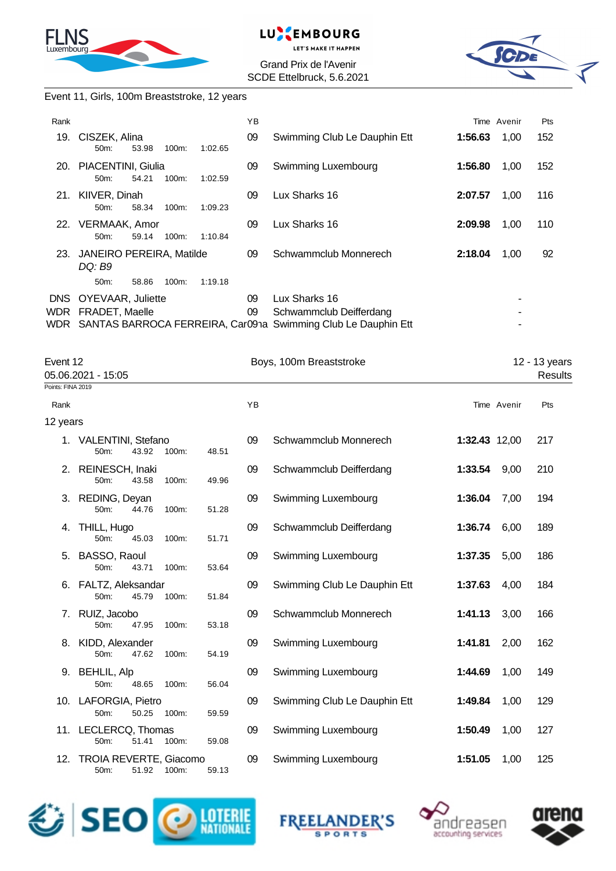



Grand Prix de l'Avenir SCDE Ettelbruck, 5.6.2021



#### Event 11, Girls, 100m Breaststroke, 12 years

| Rank              |                                                   |       |          |         | ΥB       |                                                                                                               |         | Time Avenir | Pts |
|-------------------|---------------------------------------------------|-------|----------|---------|----------|---------------------------------------------------------------------------------------------------------------|---------|-------------|-----|
| 19.               | CISZEK, Alina<br>$50m$ :                          | 53.98 | $100m$ : | 1:02.65 | 09       | Swimming Club Le Dauphin Ett                                                                                  | 1:56.63 | 1,00        | 152 |
| 20.               | PIACENTINI, Giulia<br>$50m$ :                     | 54.21 | $100m$ : | 1:02.59 | 09       | Swimming Luxembourg                                                                                           | 1:56.80 | 1,00        | 152 |
| 21.               | KIIVER, Dinah<br>$50m$ :                          | 58.34 | $100m$ : | 1:09.23 | 09       | Lux Sharks 16                                                                                                 | 2:07.57 | 1,00        | 116 |
| 22.               | VERMAAK, Amor<br>$50m$ :                          | 59.14 | 100m:    | 1:10.84 | 09       | Lux Sharks 16                                                                                                 | 2:09.98 | 1,00        | 110 |
| 23.               | <b>JANEIRO PEREIRA, Matilde</b><br>DQ: B9         |       |          |         | 09       | Schwammclub Monnerech                                                                                         | 2:18.04 | 1,00        | 92  |
|                   | $50m$ :                                           | 58.86 | $100m$ : | 1:19.18 |          |                                                                                                               |         |             |     |
| <b>DNS</b><br>WDR | <b>OYEVAAR, Juliette</b><br><b>FRADET, Maelle</b> |       |          |         | 09<br>09 | Lux Sharks 16<br>Schwammclub Deifferdang<br>WDR SANTAS BARROCA FERREIRA, Car09na Swimming Club Le Dauphin Ett |         | ٠           |     |

|                   | Event 12<br>05.06.2021 - 15:05              |       |       |    | Boys, 100m Breaststroke      |               | 12 - 13 years<br>Results |     |
|-------------------|---------------------------------------------|-------|-------|----|------------------------------|---------------|--------------------------|-----|
| Points: FINA 2019 |                                             |       |       |    |                              |               |                          |     |
| Rank              |                                             |       |       | YB |                              |               | Time Avenir              | Pts |
| 12 years          |                                             |       |       |    |                              |               |                          |     |
|                   | 1. VALENTINI, Stefano<br>50m:<br>43.92      | 100m: | 48.51 | 09 | Schwammclub Monnerech        | 1:32.43 12,00 |                          | 217 |
|                   | 2. REINESCH, Inaki<br>50m:<br>43.58         | 100m: | 49.96 | 09 | Schwammclub Deifferdang      | 1:33.54       | 9,00                     | 210 |
|                   | 3. REDING, Deyan<br>50m:<br>44.76           | 100m: | 51.28 | 09 | Swimming Luxembourg          | 1:36.04       | 7,00                     | 194 |
| 4.                | THILL, Hugo<br>50m:<br>45.03                | 100m: | 51.71 | 09 | Schwammclub Deifferdang      | 1:36.74       | 6,00                     | 189 |
| 5.                | BASSO, Raoul<br>50m:<br>43.71               | 100m: | 53.64 | 09 | Swimming Luxembourg          | 1:37.35       | 5,00                     | 186 |
| 6.                | FALTZ, Aleksandar<br>50m:<br>45.79          | 100m: | 51.84 | 09 | Swimming Club Le Dauphin Ett | 1:37.63       | 4,00                     | 184 |
|                   | 7. RUIZ, Jacobo<br>50m:<br>47.95            | 100m: | 53.18 | 09 | Schwammclub Monnerech        | 1:41.13       | 3,00                     | 166 |
|                   | 8. KIDD, Alexander<br>50m:<br>47.62         | 100m: | 54.19 | 09 | Swimming Luxembourg          | 1:41.81       | 2,00                     | 162 |
|                   | 9. BEHLIL, Alp<br>50m:<br>48.65             | 100m: | 56.04 | 09 | Swimming Luxembourg          | 1:44.69       | 1,00                     | 149 |
|                   | 10. LAFORGIA, Pietro<br>50m:<br>50.25       | 100m: | 59.59 | 09 | Swimming Club Le Dauphin Ett | 1:49.84       | 1,00                     | 129 |
|                   | 11. LECLERCQ, Thomas<br>50m:<br>51.41       | 100m: | 59.08 | 09 | Swimming Luxembourg          | 1:50.49       | 1,00                     | 127 |
|                   | 12. TROIA REVERTE, Giacomo<br>51.92<br>50m: | 100m: | 59.13 | 09 | Swimming Luxembourg          | 1:51.05       | 1,00                     | 125 |







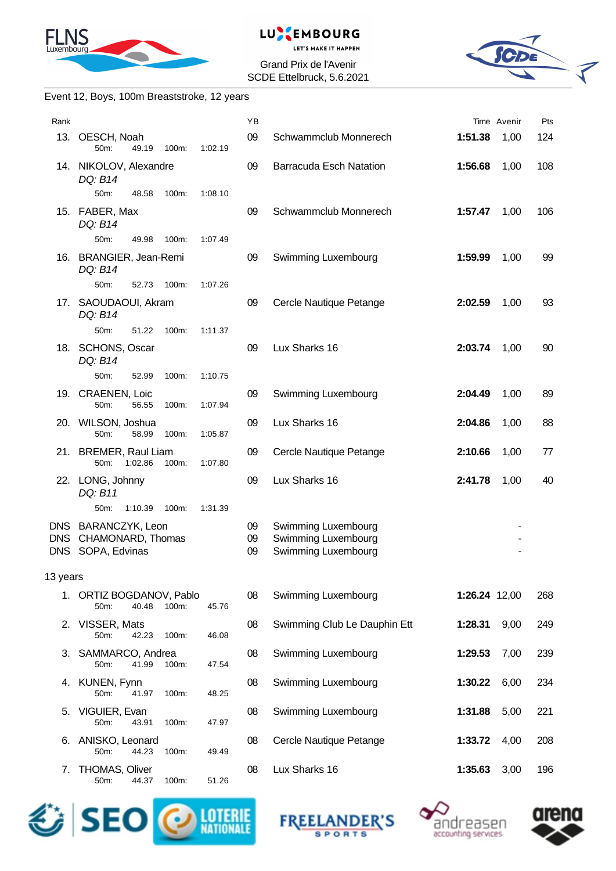



Grand Prix de l'Avenir SCDE Ettelbruck, 5.6.2021



#### Event 12, Boys, 100m Breaststroke, 12 years

| Rank                     |                                                           |       |         | YB             |                                                                   |               | Time Avenir | Pts |
|--------------------------|-----------------------------------------------------------|-------|---------|----------------|-------------------------------------------------------------------|---------------|-------------|-----|
|                          | 13. OESCH, Noah<br>50m:<br>49.19                          | 100m: | 1:02.19 | 09             | Schwammclub Monnerech                                             | 1:51.38       | 1,00        | 124 |
|                          | 14. NIKOLOV, Alexandre<br>DQ: B14                         |       |         | 09             | <b>Barracuda Esch Natation</b>                                    | 1:56.68       | 1,00        | 108 |
|                          | 50m:<br>48.58                                             | 100m: | 1:08.10 |                |                                                                   |               |             |     |
|                          | 15. FABER, Max<br>DQ: B14                                 |       |         | 09             | Schwammclub Monnerech                                             | 1:57.47       | 1,00        | 106 |
|                          | 50m:<br>49.98                                             | 100m: | 1:07.49 |                |                                                                   |               |             |     |
|                          | 16. BRANGIER, Jean-Remi<br>DQ: B14                        |       |         | 09             | Swimming Luxembourg                                               | 1:59.99       | 1,00        | 99  |
|                          | 50m:<br>52.73                                             | 100m: | 1:07.26 |                |                                                                   |               |             |     |
|                          | 17. SAOUDAOUI, Akram<br>DQ: B14                           |       |         | 09             | Cercle Nautique Petange                                           | 2:02.59       | 1,00        | 93  |
|                          | 50m:<br>51.22                                             | 100m: | 1:11.37 |                |                                                                   |               |             |     |
|                          | 18. SCHONS, Oscar<br>DQ: B14                              |       |         | 09             | Lux Sharks 16                                                     | 2:03.74       | 1,00        | 90  |
|                          | 50m:<br>52.99                                             | 100m: | 1:10.75 |                |                                                                   |               |             |     |
|                          | 19. CRAENEN, Loic<br>56.55<br>50m:                        | 100m: | 1:07.94 | 09             | Swimming Luxembourg                                               | 2:04.49       | 1,00        | 89  |
|                          | 20. WILSON, Joshua<br>50m:<br>58.99                       | 100m: | 1:05.87 | 09             | Lux Sharks 16                                                     | 2:04.86       | 1,00        | 88  |
|                          | 21. BREMER, Raul Liam<br>1:02.86<br>50m:                  | 100m: | 1:07.80 | 09             | Cercle Nautique Petange                                           | 2:10.66       | 1,00        | 77  |
|                          | 22. LONG, Johnny<br>DQ: B11                               |       |         | 09             | Lux Sharks 16                                                     | 2:41.78       | 1,00        | 40  |
|                          | 50m:<br>1:10.39                                           | 100m: | 1:31.39 |                |                                                                   |               |             |     |
| <b>DNS</b><br><b>DNS</b> | DNS BARANCZYK, Leon<br>CHAMONARD, Thomas<br>SOPA, Edvinas |       |         | 09<br>09<br>09 | Swimming Luxembourg<br>Swimming Luxembourg<br>Swimming Luxembourg |               |             |     |
| 13 years                 |                                                           |       |         |                |                                                                   |               |             |     |
|                          | 1. ORTIZ BOGDANOV, Pablo<br>50m:<br>40.48                 | 100m: | 45.76   | 08             | Swimming Luxembourg                                               | 1:26.24 12,00 |             | 268 |
|                          | 2. VISSER, Mats<br>50m:<br>42.23                          | 100m: | 46.08   | 08             | Swimming Club Le Dauphin Ett                                      | 1:28.31       | 9,00        | 249 |
| З.                       | SAMMARCO, Andrea<br>50m:<br>41.99                         | 100m: | 47.54   | 08             | Swimming Luxembourg                                               | 1:29.53       | 7,00        | 239 |
|                          | 4. KUNEN, Fynn<br>50m:<br>41.97                           | 100m: | 48.25   | 08             | Swimming Luxembourg                                               | 1:30.22       | 6,00        | 234 |
| 5.                       | VIGUIER, Evan<br>50m:<br>43.91                            | 100m: | 47.97   | 08             | Swimming Luxembourg                                               | 1:31.88       | 5,00        | 221 |
| 6.                       | ANISKO, Leonard<br>50m:<br>44.23                          | 100m: | 49.49   | 08             | Cercle Nautique Petange                                           | 1:33.72       | 4,00        | 208 |
| 7.                       | <b>THOMAS, Oliver</b><br>50m:<br>44.37                    | 100m: | 51.26   | 08             | Lux Sharks 16                                                     | 1:35.63       | 3,00        | 196 |







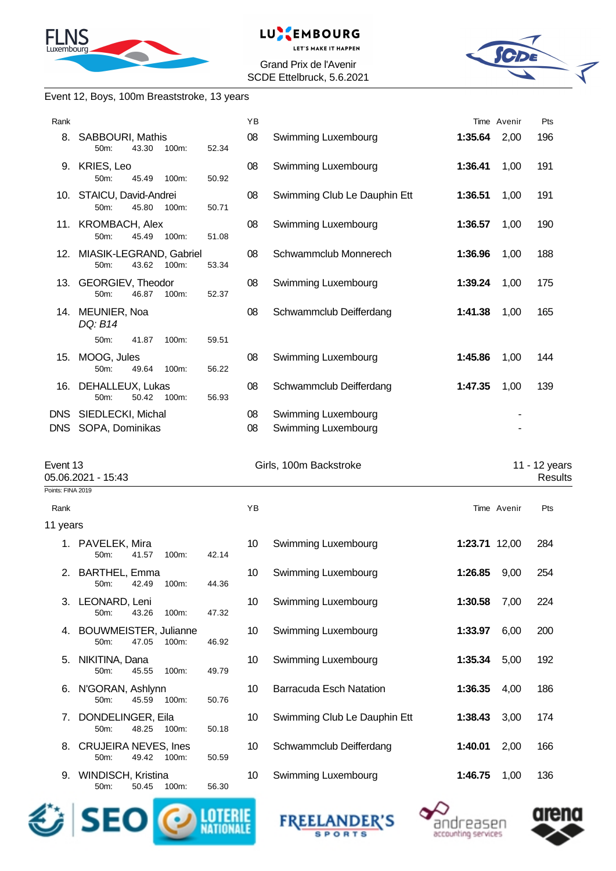



Grand Prix de l'Avenir SCDE Ettelbruck, 5.6.2021



#### Event 12, Boys, 100m Breaststroke, 13 years

| Pts<br>196<br>191<br>191<br>190<br>188<br>175<br>165<br>144 | Time Avenir<br>2,00<br>1,00<br>1,00<br>1,00<br>1,00<br>1,00<br>1,00 | 1:35.64<br>1:36.41<br>1:36.51<br>1:36.57<br>1:36.96<br>1:39.24 | Swimming Luxembourg<br>Swimming Luxembourg<br>Swimming Club Le Dauphin Ett<br>Swimming Luxembourg | YB<br>08<br>08<br>08<br>08 | SABBOURI, Mathis<br>52.34<br>50m:<br>43.30<br>100m:<br>9. KRIES, Leo<br>50m:<br>45.49<br>100m:<br>50.92<br>10. STAICU, David-Andrei<br>45.80<br>50m:<br>100m:<br>50.71<br>11. KROMBACH, Alex | Rank<br>8.                     |
|-------------------------------------------------------------|---------------------------------------------------------------------|----------------------------------------------------------------|---------------------------------------------------------------------------------------------------|----------------------------|----------------------------------------------------------------------------------------------------------------------------------------------------------------------------------------------|--------------------------------|
|                                                             |                                                                     |                                                                |                                                                                                   |                            |                                                                                                                                                                                              |                                |
|                                                             |                                                                     |                                                                |                                                                                                   |                            |                                                                                                                                                                                              |                                |
|                                                             |                                                                     |                                                                |                                                                                                   |                            |                                                                                                                                                                                              |                                |
|                                                             |                                                                     |                                                                |                                                                                                   |                            |                                                                                                                                                                                              |                                |
|                                                             |                                                                     |                                                                |                                                                                                   |                            | 45.49<br>50m:<br>100m:<br>51.08                                                                                                                                                              |                                |
|                                                             |                                                                     |                                                                | Schwammclub Monnerech                                                                             | 08                         | 12. MIASIK-LEGRAND, Gabriel<br>50m:<br>43.62<br>100m:<br>53.34                                                                                                                               |                                |
|                                                             |                                                                     |                                                                | Swimming Luxembourg                                                                               | 08                         | 13. GEORGIEV, Theodor<br>50m:<br>46.87<br>100m:<br>52.37                                                                                                                                     |                                |
|                                                             |                                                                     | 1:41.38                                                        | Schwammclub Deifferdang                                                                           | 08                         | 14. MEUNIER, Noa<br>DQ: B14                                                                                                                                                                  |                                |
|                                                             |                                                                     |                                                                |                                                                                                   |                            | 50m:<br>41.87<br>100m:<br>59.51                                                                                                                                                              |                                |
|                                                             | 1,00                                                                | 1:45.86                                                        | Swimming Luxembourg                                                                               | 08                         | MOOG, Jules<br>50m:<br>49.64<br>100m:<br>56.22                                                                                                                                               | 15.                            |
| 139                                                         | 1,00                                                                | 1:47.35                                                        | Schwammclub Deifferdang                                                                           | 08                         | DEHALLEUX, Lukas<br>50m:<br>50.42<br>100m:<br>56.93                                                                                                                                          | 16.                            |
|                                                             |                                                                     |                                                                | Swimming Luxembourg                                                                               | 08                         | DNS SIEDLECKI, Michal                                                                                                                                                                        |                                |
|                                                             |                                                                     |                                                                | Swimming Luxembourg                                                                               | 08                         | DNS SOPA, Dominikas                                                                                                                                                                          |                                |
|                                                             |                                                                     |                                                                |                                                                                                   |                            |                                                                                                                                                                                              |                                |
| 11 - 12 years<br>Results                                    |                                                                     |                                                                | Girls, 100m Backstroke                                                                            |                            |                                                                                                                                                                                              | Event 13<br>05.06.2021 - 15:43 |
|                                                             |                                                                     |                                                                |                                                                                                   |                            |                                                                                                                                                                                              | Points: FINA 2019              |
| Pts                                                         | Time Avenir                                                         |                                                                |                                                                                                   | YB                         |                                                                                                                                                                                              | Rank                           |
|                                                             |                                                                     |                                                                |                                                                                                   |                            |                                                                                                                                                                                              | 11 years                       |
| 284                                                         |                                                                     | 1:23.71 12,00                                                  | Swimming Luxembourg                                                                               | 10                         | 1. PAVELEK, Mira<br>41.57<br>42.14<br>50m:<br>100m:                                                                                                                                          |                                |
| 254                                                         |                                                                     | 1:26.85 9,00                                                   | Swimming Luxembourg                                                                               | 10                         | 2. BARTHEL, Emma<br>42.49<br>100m:<br>44.36<br>50m:                                                                                                                                          |                                |
| 224                                                         | 7,00                                                                | 1:30.58                                                        | Swimming Luxembourg                                                                               | 10                         | LEONARD, Leni<br>50m:<br>43.26<br>100m:<br>47.32                                                                                                                                             | 3.                             |
| 200                                                         | 6,00                                                                | 1:33.97                                                        | Swimming Luxembourg                                                                               | 10                         | <b>BOUWMEISTER, Julianne</b><br>50m:<br>47.05<br>100m:<br>46.92                                                                                                                              | 4.                             |
| 192                                                         | 5,00                                                                | 1:35.34                                                        | Swimming Luxembourg                                                                               | 10                         | NIKITINA, Dana<br>45.55<br>100m:<br>49.79<br>50m:                                                                                                                                            | 5.                             |
| 186                                                         | 4,00                                                                | 1:36.35                                                        | <b>Barracuda Esch Natation</b>                                                                    | 10                         | N'GORAN, Ashlynn<br>50m:<br>45.59<br>100m:<br>50.76                                                                                                                                          | 6.                             |
| 174                                                         | 3,00                                                                | 1:38.43                                                        | Swimming Club Le Dauphin Ett                                                                      | 10                         | DONDELINGER, Eila<br>50m:<br>48.25<br>100m:<br>50.18                                                                                                                                         | 7.                             |
|                                                             | 2,00                                                                | 1:40.01                                                        | Schwammclub Deifferdang                                                                           | 10                         | <b>CRUJEIRA NEVES, Ines</b><br>50m:<br>49.42<br>100m:<br>50.59                                                                                                                               | 8.                             |
| 166                                                         | 1,00                                                                | 1:46.75                                                        | Swimming Luxembourg                                                                               | 10                         | WINDISCH, Kristina                                                                                                                                                                           | 9.<br>50m:                     |
|                                                             |                                                                     |                                                                |                                                                                                   |                            |                                                                                                                                                                                              |                                |







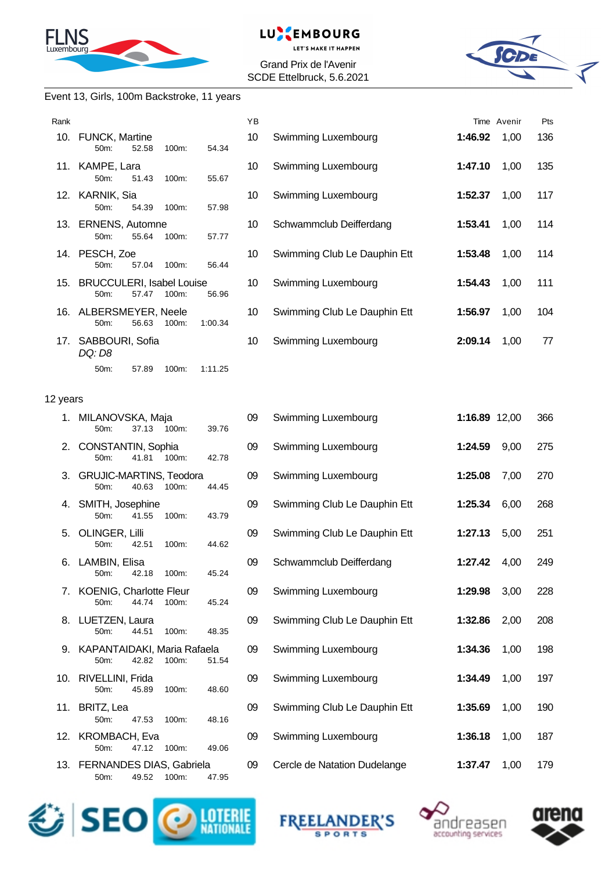



Grand Prix de l'Avenir SCDE Ettelbruck, 5.6.2021



#### Event 13, Girls, 100m Backstroke, 11 years

| Rank     |                                                                   | YB |                              |               | Time Avenir | Pts |
|----------|-------------------------------------------------------------------|----|------------------------------|---------------|-------------|-----|
|          | 10. FUNCK, Martine<br>52.58<br>100m:<br>50m:<br>54.34             | 10 | Swimming Luxembourg          | 1:46.92       | 1,00        | 136 |
|          | 11. KAMPE, Lara<br>50m:<br>51.43<br>100m:<br>55.67                | 10 | Swimming Luxembourg          | 1:47.10       | 1,00        | 135 |
|          | 12. KARNIK, Sia<br>54.39<br>100m:<br>50m:<br>57.98                | 10 | Swimming Luxembourg          | 1:52.37       | 1,00        | 117 |
|          | 13. ERNENS, Automne<br>55.64<br>50m:<br>100m:<br>57.77            | 10 | Schwammclub Deifferdang      | 1:53.41       | 1,00        | 114 |
|          | 14. PESCH, Zoe<br>57.04<br>50m:<br>100m:<br>56.44                 | 10 | Swimming Club Le Dauphin Ett | 1:53.48       | 1,00        | 114 |
|          | 15. BRUCCULERI, Isabel Louise<br>57.47<br>100m:<br>50m:<br>56.96  | 10 | Swimming Luxembourg          | 1:54.43       | 1,00        | 111 |
|          | 16. ALBERSMEYER, Neele<br>50m:<br>56.63<br>100m:<br>1:00.34       | 10 | Swimming Club Le Dauphin Ett | 1:56.97       | 1,00        | 104 |
|          | 17. SABBOURI, Sofia<br>DQ: D8                                     | 10 | Swimming Luxembourg          | 2:09.14       | 1,00        | 77  |
|          | 50m:<br>57.89<br>100m:<br>1:11.25                                 |    |                              |               |             |     |
| 12 years |                                                                   |    |                              |               |             |     |
|          | 1. MILANOVSKA, Maja<br>50m:<br>37.13<br>100m:<br>39.76            | 09 | Swimming Luxembourg          | 1:16.89 12,00 |             | 366 |
| 2.       | CONSTANTIN, Sophia<br>41.81 100m:<br>50m:<br>42.78                | 09 | Swimming Luxembourg          | 1:24.59       | 9,00        | 275 |
|          | 3. GRUJIC-MARTINS, Teodora<br>40.63<br>100m:<br>50m:<br>44.45     | 09 | Swimming Luxembourg          | 1:25.08       | 7,00        | 270 |
|          | 4. SMITH, Josephine<br>100m:<br>50m:<br>41.55<br>43.79            | 09 | Swimming Club Le Dauphin Ett | 1:25.34       | 6,00        | 268 |
| 5.       | OLINGER, Lilli<br>50m:<br>42.51<br>100m:<br>44.62                 | 09 | Swimming Club Le Dauphin Ett | 1:27.13       | 5,00        | 251 |
|          | 6. LAMBIN, Elisa<br>45.24<br>50m:<br>42.18<br>100m:               | 09 | Schwammclub Deifferdang      | 1:27.42       | 4,00        | 249 |
| 7.       | <b>KOENIG, Charlotte Fleur</b><br>50m:<br>44.74<br>100m:<br>45.24 | 09 | Swimming Luxembourg          | 1:29.98       | 3,00        | 228 |
|          | 8. LUETZEN, Laura<br>44.51<br>100m:<br>48.35<br>50m:              | 09 | Swimming Club Le Dauphin Ett | 1:32.86       | 2,00        | 208 |
| 9.       | KAPANTAIDAKI, Maria Rafaela<br>50m:<br>42.82<br>100m:<br>51.54    | 09 | Swimming Luxembourg          | 1:34.36       | 1,00        | 198 |
|          | 10. RIVELLINI, Frida<br>50m:<br>45.89<br>100m:<br>48.60           | 09 | Swimming Luxembourg          | 1:34.49       | 1,00        | 197 |
| 11.      | BRITZ, Lea<br>47.53<br>50m:<br>100m:<br>48.16                     | 09 | Swimming Club Le Dauphin Ett | 1:35.69       | 1,00        | 190 |
|          | 12. KROMBACH, Eva<br>47.12<br>50m:<br>100m:<br>49.06              | 09 | Swimming Luxembourg          | 1:36.18       | 1,00        | 187 |
|          | 13. FERNANDES DIAS, Gabriela<br>49.52<br>100m:<br>47.95<br>50m:   | 09 | Cercle de Natation Dudelange | 1:37.47       | 1,00        | 179 |







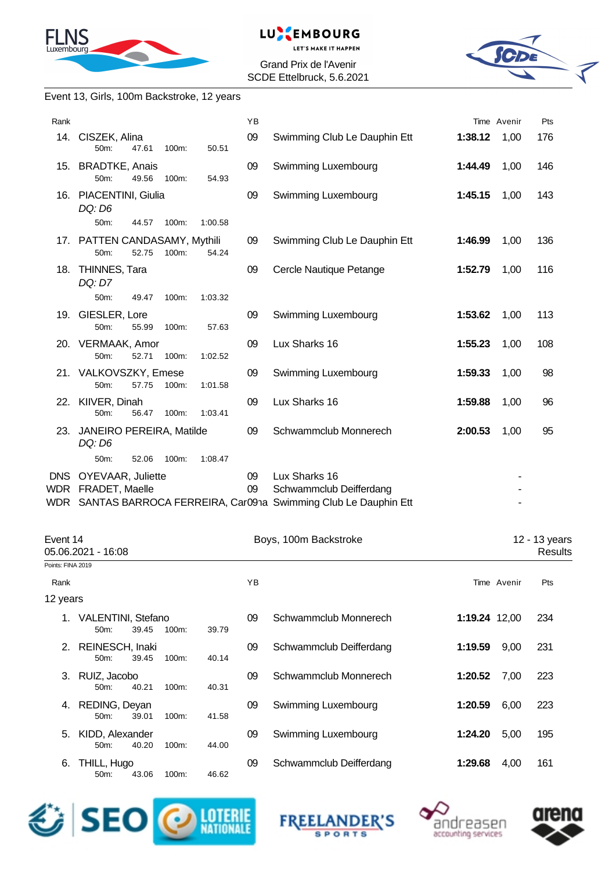



Grand Prix de l'Avenir SCDE Ettelbruck, 5.6.2021



### Event 13, Girls, 100m Backstroke, 12 years

| Rank               |                                            |       |       |         | YB       |                                                                                                               |         | Time Avenir | Pts |
|--------------------|--------------------------------------------|-------|-------|---------|----------|---------------------------------------------------------------------------------------------------------------|---------|-------------|-----|
|                    | 14. CISZEK, Alina<br>50m:                  | 47.61 | 100m: | 50.51   | 09       | Swimming Club Le Dauphin Ett                                                                                  | 1:38.12 | 1,00        | 176 |
|                    | 15. BRADTKE, Anais<br>50m:                 | 49.56 | 100m: | 54.93   | 09       | Swimming Luxembourg                                                                                           | 1:44.49 | 1,00        | 146 |
|                    | 16. PIACENTINI, Giulia<br>DQ: D6           |       |       |         | 09       | Swimming Luxembourg                                                                                           | 1:45.15 | 1,00        | 143 |
|                    | 50m:                                       | 44.57 | 100m: | 1:00.58 |          |                                                                                                               |         |             |     |
|                    | 17. PATTEN CANDASAMY, Mythili<br>50m:      | 52.75 | 100m: | 54.24   | 09       | Swimming Club Le Dauphin Ett                                                                                  | 1:46.99 | 1,00        | 136 |
|                    | 18. THINNES, Tara<br>DQ: D7                |       |       |         | 09       | Cercle Nautique Petange                                                                                       | 1:52.79 | 1,00        | 116 |
|                    | 50m:                                       | 49.47 | 100m: | 1:03.32 |          |                                                                                                               |         |             |     |
|                    | 19. GIESLER, Lore<br>50m:                  | 55.99 | 100m: | 57.63   | 09       | Swimming Luxembourg                                                                                           | 1:53.62 | 1,00        | 113 |
|                    | 20. VERMAAK, Amor<br>50m:                  | 52.71 | 100m: | 1:02.52 | 09       | Lux Sharks 16                                                                                                 | 1:55.23 | 1,00        | 108 |
|                    | 21. VALKOVSZKY, Emese<br>50m:              | 57.75 | 100m: | 1:01.58 | 09       | Swimming Luxembourg                                                                                           | 1:59.33 | 1,00        | 98  |
|                    | 22. KIIVER, Dinah<br>50m:                  | 56.47 | 100m: | 1:03.41 | 09       | Lux Sharks 16                                                                                                 | 1:59.88 | 1,00        | 96  |
|                    | 23. JANEIRO PEREIRA, Matilde<br>DQ: D6     |       |       |         | 09       | Schwammclub Monnerech                                                                                         | 2:00.53 | 1,00        | 95  |
|                    | 50m:                                       | 52.06 | 100m: | 1:08.47 |          |                                                                                                               |         |             |     |
| <b>DNS</b><br>WDR. | <b>OYEVAAR, Juliette</b><br>FRADET, Maelle |       |       |         | 09<br>09 | Lux Sharks 16<br>Schwammclub Deifferdang<br>WDR SANTAS BARROCA FERREIRA, Car091a Swimming Club Le Dauphin Ett |         |             |     |
|                    |                                            |       |       |         |          |                                                                                                               |         |             |     |

| Event 14          |                                  | Boys, 100m Backstroke |          |       | 12 - 13 years |                         |               |             |                |
|-------------------|----------------------------------|-----------------------|----------|-------|---------------|-------------------------|---------------|-------------|----------------|
|                   | 05.06.2021 - 16:08               |                       |          |       |               |                         |               |             | <b>Results</b> |
| Points: FINA 2019 |                                  |                       |          |       |               |                         |               |             |                |
| Rank              |                                  |                       |          |       | YB            |                         |               | Time Avenir | Pts            |
| 12 years          |                                  |                       |          |       |               |                         |               |             |                |
|                   | 1. VALENTINI, Stefano<br>$50m$ : | 39.45                 | $100m$ : | 39.79 | 09            | Schwammclub Monnerech   | 1:19.24 12,00 |             | 234            |
| 2.                | REINESCH, Inaki<br>50m:          | 39.45                 | 100m:    | 40.14 | 09            | Schwammclub Deifferdang | 1:19.59       | 9,00        | 231            |
|                   | 3. RUIZ, Jacobo<br>$50m$ :       | 40.21                 | 100m:    | 40.31 | 09            | Schwammclub Monnerech   | 1:20.52       | 7,00        | 223            |
| 4.                | REDING, Deyan<br>50m:            | 39.01                 | 100m:    | 41.58 | 09            | Swimming Luxembourg     | 1:20.59       | 6,00        | 223            |
| 5.                | KIDD, Alexander<br>$50m$ :       | 40.20                 | 100m:    | 44.00 | 09            | Swimming Luxembourg     | 1:24.20       | 5,00        | 195            |
| 6.                | THILL, Hugo<br>$50m$ :           | 43.06                 | 100m:    | 46.62 | 09            | Schwammclub Deifferdang | 1:29.68       | 4,00        | 161            |







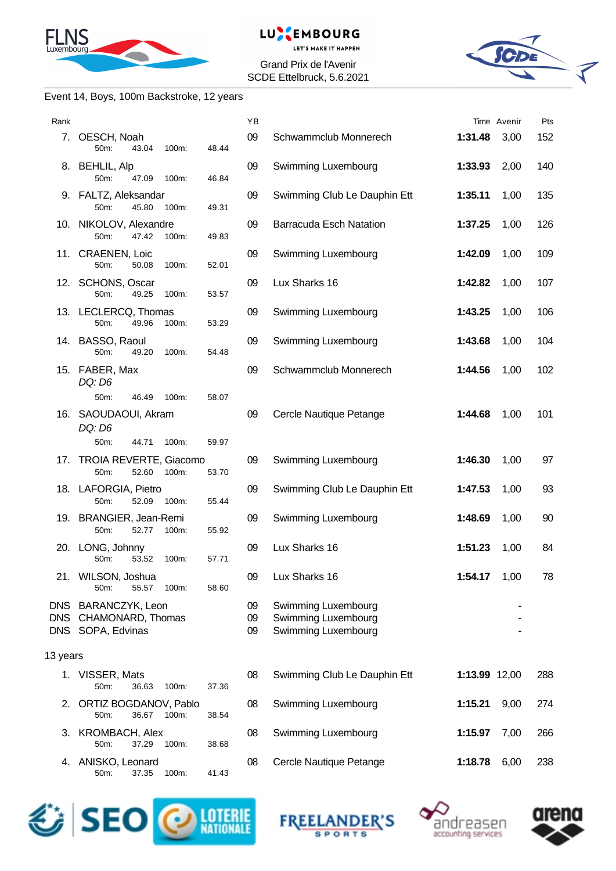



Grand Prix de l'Avenir SCDE Ettelbruck, 5.6.2021



#### Event 14, Boys, 100m Backstroke, 12 years

| Rank       |                                                               |       | YB             |                                                                   |               | Time Avenir | Pts |
|------------|---------------------------------------------------------------|-------|----------------|-------------------------------------------------------------------|---------------|-------------|-----|
|            | 7. OESCH, Noah<br>50m:<br>43.04<br>100m:                      | 48.44 | 09             | Schwammclub Monnerech                                             | 1:31.48       | 3,00        | 152 |
|            | 8. BEHLIL, Alp<br>50m:<br>47.09<br>100m:                      | 46.84 | 09             | Swimming Luxembourg                                               | 1:33.93       | 2,00        | 140 |
|            | 9. FALTZ, Aleksandar<br>45.80<br>50m:<br>100m:                | 49.31 | 09             | Swimming Club Le Dauphin Ett                                      | 1:35.11       | 1,00        | 135 |
|            | 10. NIKOLOV, Alexandre<br>50m:<br>47.42<br>100m:              | 49.83 | 09             | <b>Barracuda Esch Natation</b>                                    | 1:37.25       | 1,00        | 126 |
|            | 11. CRAENEN, Loic<br>50m:<br>50.08<br>100m:                   | 52.01 | 09             | Swimming Luxembourg                                               | 1:42.09       | 1,00        | 109 |
|            | 12. SCHONS, Oscar<br>49.25<br>50m:<br>100m:                   | 53.57 | 09             | Lux Sharks 16                                                     | 1:42.82       | 1,00        | 107 |
|            | 13. LECLERCQ, Thomas<br>50m:<br>49.96<br>100m:                | 53.29 | 09             | Swimming Luxembourg                                               | 1:43.25       | 1,00        | 106 |
|            | 14. BASSO, Raoul<br>50m:<br>49.20<br>100m:                    | 54.48 | 09             | Swimming Luxembourg                                               | 1:43.68       | 1,00        | 104 |
|            | 15. FABER, Max<br>DQ: D6                                      |       | 09             | Schwammclub Monnerech                                             | 1:44.56       | 1,00        | 102 |
|            | 46.49<br>50m:<br>100m:                                        | 58.07 |                |                                                                   |               |             |     |
|            | 16. SAOUDAOUI, Akram<br>DQ: D6                                |       | 09             | Cercle Nautique Petange                                           | 1:44.68       | 1,00        | 101 |
|            | 50m:<br>44.71<br>100m:                                        | 59.97 |                |                                                                   |               |             |     |
|            | 17. TROIA REVERTE, Giacomo<br>50m:<br>52.60<br>100m:          | 53.70 | 09             | Swimming Luxembourg                                               | 1:46.30       | 1,00        | 97  |
|            | 18. LAFORGIA, Pietro<br>50m:<br>52.09<br>100m:                | 55.44 | 09             | Swimming Club Le Dauphin Ett                                      | 1:47.53       | 1,00        | 93  |
|            | 19. BRANGIER, Jean-Remi<br>50m:<br>52.77<br>100m:             | 55.92 | 09             | Swimming Luxembourg                                               | 1:48.69       | 1,00        | 90  |
|            | 20. LONG, Johnny<br>53.52<br>100m:<br>50m:                    | 57.71 | 09             | Lux Sharks 16                                                     | 1:51.23       | 1,00        | 84  |
|            | 21. WILSON, Joshua<br>55.57<br>50m:<br>100m:                  | 58.60 | 09             | Lux Sharks 16                                                     | 1:54.17       | 1,00        | 78  |
| <b>DNS</b> | BARANCZYK, Leon<br>DNS CHAMONARD, Thomas<br>DNS SOPA, Edvinas |       | 09<br>09<br>09 | Swimming Luxembourg<br>Swimming Luxembourg<br>Swimming Luxembourg |               |             |     |
| 13 years   |                                                               |       |                |                                                                   |               |             |     |
|            | 1. VISSER, Mats<br>50m:<br>36.63<br>100m:                     | 37.36 | 08             | Swimming Club Le Dauphin Ett                                      | 1:13.99 12,00 |             | 288 |
| 2.         | ORTIZ BOGDANOV, Pablo<br>36.67<br>100m:<br>50m:               | 38.54 | 08             | Swimming Luxembourg                                               | 1:15.21       | 9,00        | 274 |
| З.         | <b>KROMBACH, Alex</b><br>50m:<br>37.29<br>100m:               | 38.68 | 08             | Swimming Luxembourg                                               | 1:15.97       | 7,00        | 266 |
|            | 4. ANISKO, Leonard<br>50m:<br>37.35<br>100m:                  | 41.43 | 08             | Cercle Nautique Petange                                           | 1:18.78       | 6,00        | 238 |







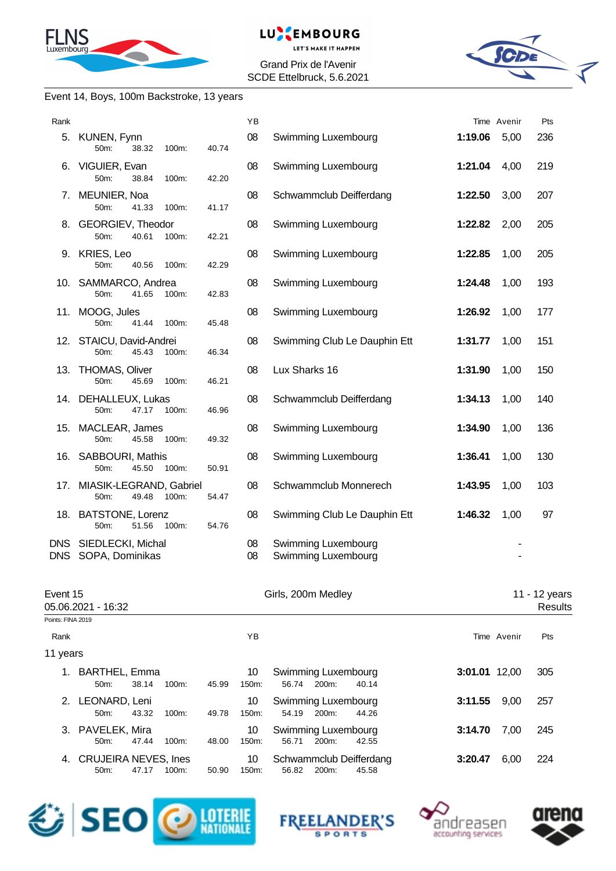



Grand Prix de l'Avenir SCDE Ettelbruck, 5.6.2021



#### Event 14, Boys, 100m Backstroke, 13 years

| Rank              |                                                    |       | YB          |                                                |               | Time Avenir    | Pts                      |
|-------------------|----------------------------------------------------|-------|-------------|------------------------------------------------|---------------|----------------|--------------------------|
| 5.                | KUNEN, Fynn<br>50m:<br>38.32<br>100m:              | 40.74 | 08          | Swimming Luxembourg                            | 1:19.06       | 5,00           | 236                      |
| 6.                | VIGUIER, Evan<br>50m:<br>38.84<br>100m:            | 42.20 | 08          | Swimming Luxembourg                            | 1:21.04       | 4,00           | 219                      |
|                   | 7. MEUNIER, Noa<br>50m:<br>41.33<br>100m:          | 41.17 | 08          | Schwammclub Deifferdang                        | 1:22.50       | 3,00           | 207                      |
|                   | 8. GEORGIEV, Theodor<br>50m:<br>40.61<br>100m:     | 42.21 | 08          | Swimming Luxembourg                            | 1:22.82       | 2,00           | 205                      |
|                   | 9. KRIES, Leo<br>50m:<br>40.56<br>100m:            | 42.29 | 08          | Swimming Luxembourg                            | 1:22.85       | 1,00           | 205                      |
|                   | 10. SAMMARCO, Andrea<br>41.65<br>50m:<br>100m:     | 42.83 | 08          | Swimming Luxembourg                            | 1:24.48       | 1,00           | 193                      |
|                   | 11. MOOG, Jules<br>50m:<br>41.44<br>100m:          | 45.48 | 08          | Swimming Luxembourg                            | 1:26.92       | 1,00           | 177                      |
|                   | 12. STAICU, David-Andrei<br>50m:<br>45.43<br>100m: | 46.34 | 08          | Swimming Club Le Dauphin Ett                   | 1:31.77       | 1,00           | 151                      |
|                   | 13. THOMAS, Oliver<br>50m:<br>45.69<br>100m:       | 46.21 | 08          | Lux Sharks 16                                  | 1:31.90       | 1,00           | 150                      |
|                   | 14. DEHALLEUX, Lukas<br>50m:<br>47.17<br>100m:     | 46.96 | 08          | Schwammclub Deifferdang                        | 1:34.13       | 1,00           | 140                      |
|                   | 15. MACLEAR, James<br>50m:<br>45.58<br>100m:       | 49.32 | 08          | Swimming Luxembourg                            | 1:34.90       | 1,00           | 136                      |
|                   | 16. SABBOURI, Mathis<br>45.50<br>50m:<br>100m:     | 50.91 | 08          | Swimming Luxembourg                            | 1:36.41       | 1,00           | 130                      |
| 17.               | MIASIK-LEGRAND, Gabriel<br>50m:<br>49.48<br>100m:  | 54.47 | 08          | Schwammclub Monnerech                          | 1:43.95       | 1,00           | 103                      |
|                   | 18. BATSTONE, Lorenz<br>50m:<br>51.56<br>100m:     | 54.76 | 08          | Swimming Club Le Dauphin Ett                   | 1:46.32       | 1,00           | 97                       |
| <b>DNS</b>        | DNS SIEDLECKI, Michal<br>SOPA, Dominikas           |       | 08<br>08    | Swimming Luxembourg<br>Swimming Luxembourg     |               | $\overline{a}$ |                          |
| Event 15          | 05.06.2021 - 16:32                                 |       |             | Girls, 200m Medley                             |               |                | 11 - 12 years<br>Results |
| Points: FINA 2019 |                                                    |       |             |                                                |               |                |                          |
| Rank              |                                                    |       | ΥB          |                                                |               | Time Avenir    | Pts                      |
| 11 years          |                                                    |       |             |                                                |               |                |                          |
|                   | 1. BARTHEL, Emma<br>50m:<br>38.14<br>100m:         | 45.99 | 10<br>150m: | Swimming Luxembourg<br>56.74<br>200m:<br>40.14 | 3:01.01 12,00 |                | 305                      |
| 2.                | LEONARD, Leni<br>50m:<br>43.32<br>100m:            | 49.78 | 10<br>150m: | Swimming Luxembourg<br>54.19<br>200m:<br>44.26 | 3:11.55       | 9,00           | 257                      |
|                   |                                                    |       |             |                                                |               |                |                          |

3. PAVELEK, Mira **10 Swimming Luxembourg 3:14.70** 7,00 245<br>50m: 47.44 100m: 48.00 150m: 56.71 200m: 42.55 4. CRUJEIRA NEVES, Ines 10 Schwammclub Deifferdang **3:20.47** 6,00 224 50m: 47.17 100m: 50.90 150m: 56.82 200m:





56.71 200m:



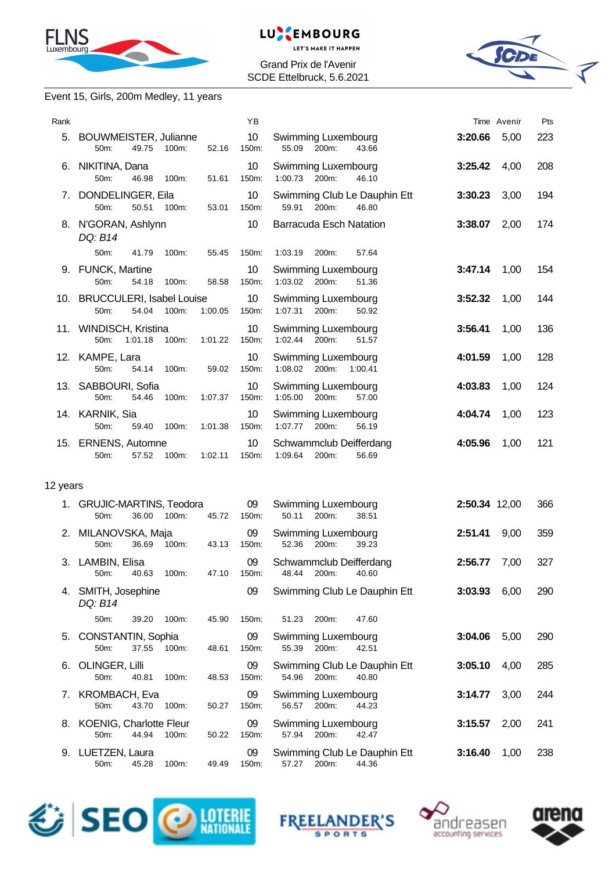



Grand Prix de l'Avenir SCDE Ettelbruck, 5.6.2021



### Event 15, Girls, 200m Medley, 11 years

| Rank     |                                                                       | YB                       |                                                         |               | Time Avenir | Pts |
|----------|-----------------------------------------------------------------------|--------------------------|---------------------------------------------------------|---------------|-------------|-----|
|          | 5. BOUWMEISTER, Julianne<br>49.75<br>100m:<br>52.16<br>$50m$ :        | 10 <sup>°</sup><br>150m: | Swimming Luxembourg<br>55.09 200m:<br>43.66             | 3:20.66       | 5,00        | 223 |
|          | 6. NIKITINA, Dana<br>46.98<br>50 <sub>m</sub> :<br>51.61<br>100m:     | 10<br>150m:              | Swimming Luxembourg<br>1:00.73 200m:<br>46.10           | 3:25.42       | 4,00        | 208 |
|          | 7. DONDELINGER, Eila<br>50m:<br>50.51<br>100m:<br>53.01               | 10<br>150m:              | Swimming Club Le Dauphin Ett<br>200m:<br>59.91<br>46.80 | 3:30.23       | 3,00        | 194 |
|          | 8. N'GORAN, Ashlynn<br>DQ: B14                                        | 10                       | <b>Barracuda Esch Natation</b>                          | 3:38.07       | 2,00        | 174 |
|          | 50m:<br>41.79<br>100m:<br>55.45                                       | 150m:                    | 1:03.19<br>200m:<br>57.64                               |               |             |     |
|          | 9. FUNCK, Martine<br>54.18<br>50m:<br>100m:<br>58.58                  | 10<br>150m:              | Swimming Luxembourg<br>1:03.02 200m:<br>51.36           | 3:47.14       | 1,00        | 154 |
|          | 10. BRUCCULERI, Isabel Louise<br>100m:<br>1:00.05<br>$50m$ :<br>54.04 | 10 <sup>°</sup><br>150m: | Swimming Luxembourg<br>1:07.31<br>200m:<br>50.92        | 3:52.32       | 1,00        | 144 |
|          | 11. WINDISCH, Kristina<br>1:01.18<br>100m:<br>1:01.22<br>50m:         | 10<br>150m:              | Swimming Luxembourg<br>1:02.44 200m:<br>51.57           | 3:56.41       | 1,00        | 136 |
|          | 12. KAMPE, Lara<br>50m:<br>100m:<br>59.02<br>54.14                    | 10<br>150m:              | Swimming Luxembourg<br>1:08.02 200m:<br>1:00.41         | 4:01.59       | 1,00        | 128 |
|          | 13. SABBOURI, Sofia<br>50m:<br>1:07.37<br>54.46<br>100m:              | 10 <sup>1</sup><br>150m: | Swimming Luxembourg<br>1:05.00 200m:<br>57.00           | 4:03.83       | 1,00        | 124 |
|          | 14. KARNIK, Sia<br>50m:<br>1:01.38<br>59.40<br>100m:                  | 10<br>150m:              | Swimming Luxembourg<br>1:07.77<br>56.19<br>200m:        | 4:04.74       | 1,00        | 123 |
|          | 15. ERNENS, Automne<br>57.52<br>1:02.11<br>50m:<br>100m:              | 10<br>150m:              | Schwammclub Deifferdang<br>1:09.64<br>200m:<br>56.69    | 4:05.96       | 1,00        | 121 |
| 12 years |                                                                       |                          |                                                         |               |             |     |
|          | 1. GRUJIC-MARTINS, Teodora<br>36.00<br>100m:<br>45.72<br>50m:         | 09<br>150m:              | Swimming Luxembourg<br>50.11<br>38.51<br>200m:          | 2:50.34 12,00 |             | 366 |
|          | 2. MILANOVSKA, Maja<br>50 m 36.60 100 12.13 150 m 52.36 200 30.23     | 09                       | Swimming Luxembourg                                     | 2:51.41       | 9,00        | 359 |

|    | 50m:                                  | 36.69 | 100m:    | 43.13 | 150m:       | 52.36<br>200m:<br>39.23                                                    |     |
|----|---------------------------------------|-------|----------|-------|-------------|----------------------------------------------------------------------------|-----|
|    | 3. LAMBIN, Elisa<br>$50m$ :           | 40.63 | 100m:    | 47.10 | 09<br>150m: | Schwammclub Deifferdang<br>7,00<br>2:56.77<br>48.44<br>200m:<br>40.60      | 327 |
| 4. | SMITH, Josephine<br>DQ: B14           |       |          |       | 09          | Swimming Club Le Dauphin Ett<br>3:03.93<br>6,00                            | 290 |
|    | $50m$ :                               | 39.20 | $100m$ : | 45.90 | 150m:       | 51.23<br>200 <sub>m</sub> :<br>47.60                                       |     |
|    | 5. CONSTANTIN, Sophia<br>$50m$ :      | 37.55 | 100m:    | 48.61 | 09<br>150m: | Swimming Luxembourg<br>3:04.06<br>5,00<br>55.39<br>200m:<br>42.51          | 290 |
|    | 6. OLINGER, Lilli<br>$50m$ :          | 40.81 | 100m:    | 48.53 | 09<br>150m: | Swimming Club Le Dauphin Ett<br>3:05.10<br>4,00<br>54.96<br>200m:<br>40.80 | 285 |
|    | 7. KROMBACH, Eva<br>$50m$ :           | 43.70 | $100m$ : | 50.27 | 09<br>150m: | Swimming Luxembourg<br>3:14.77<br>3,00<br>56.57<br>200m:<br>44.23          | 244 |
|    | 8. KOENIG, Charlotte Fleur<br>$50m$ : | 44.94 | $100m$ : | 50.22 | 09<br>150m: | Swimming Luxembourg<br>3:15.57<br>2,00<br>57.94<br>200m:<br>42.47          | 241 |
|    | 9. LUETZEN, Laura<br>50m:             | 45.28 | 100m:    | 49.49 | 09<br>150m: | Swimming Club Le Dauphin Ett<br>3:16.40<br>1,00<br>57.27<br>200m:<br>44.36 | 238 |







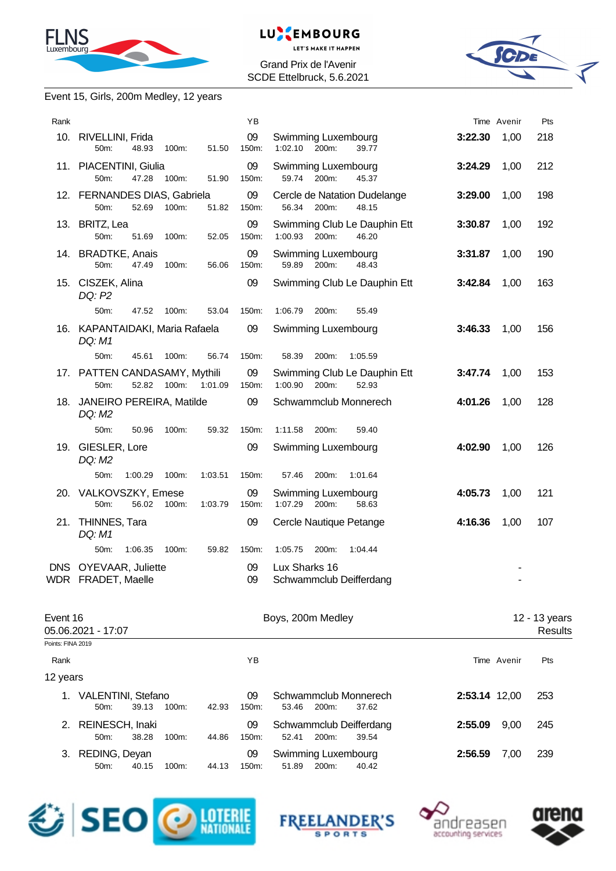



Grand Prix de l'Avenir SCDE Ettelbruck, 5.6.2021



#### Event 15, Girls, 200m Medley, 12 years

| Rank     |                                                |                  | YB          |                                                           |         | Time Avenir | Pts                      |
|----------|------------------------------------------------|------------------|-------------|-----------------------------------------------------------|---------|-------------|--------------------------|
|          | 10. RIVELLINI, Frida<br>50m:<br>48.93          | 51.50<br>100m:   | 09<br>150m: | Swimming Luxembourg<br>200m:<br>1:02.10<br>39.77          | 3:22.30 | 1,00        | 218                      |
|          | 11. PIACENTINI, Giulia<br>50m:<br>47.28        | 100m:<br>51.90   | 09<br>150m: | Swimming Luxembourg<br>59.74 200m:<br>45.37               | 3:24.29 | 1,00        | 212                      |
|          | 12. FERNANDES DIAS, Gabriela<br>50m:<br>52.69  | 100m:<br>51.82   | 09<br>150m: | Cercle de Natation Dudelange<br>56.34 200m:<br>48.15      | 3:29.00 | 1,00        | 198                      |
|          | 13. BRITZ, Lea<br>50m:<br>51.69                | 52.05<br>100m:   | 09<br>150m: | Swimming Club Le Dauphin Ett<br>1:00.93 200m:<br>46.20    | 3:30.87 | 1,00        | 192                      |
|          | 14. BRADTKE, Anais<br>50m:<br>47.49            | 100m:<br>56.06   | 09<br>150m: | Swimming Luxembourg<br>59.89<br>200m:<br>48.43            | 3:31.87 | 1,00        | 190                      |
|          | 15. CISZEK, Alina<br>DQ: P2                    |                  | 09          | Swimming Club Le Dauphin Ett                              | 3:42.84 | 1,00        | 163                      |
|          | 50m:<br>47.52                                  | 100m:<br>53.04   | 150m:       | 1:06.79<br>200m:<br>55.49                                 |         |             |                          |
|          | 16. KAPANTAIDAKI, Maria Rafaela<br>DQ: M1      |                  | 09          | Swimming Luxembourg                                       | 3:46.33 | 1,00        | 156                      |
|          | 50m:<br>45.61                                  | 100m:<br>56.74   | 150m:       | 58.39<br>200m:<br>1:05.59                                 |         |             |                          |
|          | 17. PATTEN CANDASAMY, Mythili<br>52.82<br>50m: | 100m:<br>1:01.09 | 09<br>150m: | Swimming Club Le Dauphin Ett<br>1:00.90<br>200m:<br>52.93 | 3:47.74 | 1,00        | 153                      |
|          | 18. JANEIRO PEREIRA, Matilde<br>DQ: M2         |                  | 09          | Schwammclub Monnerech                                     | 4:01.26 | 1,00        | 128                      |
|          | 50m:<br>50.96                                  | 100m:<br>59.32   | 150m:       | 1:11.58<br>200m:<br>59.40                                 |         |             |                          |
|          | 19. GIESLER, Lore<br>DQ: M2                    |                  | 09          | Swimming Luxembourg                                       | 4:02.90 | 1,00        | 126                      |
|          | 50m:<br>1:00.29                                | 1:03.51<br>100m: | 150m:       | 57.46<br>200m:<br>1:01.64                                 |         |             |                          |
|          | 20. VALKOVSZKY, Emese<br>50m:<br>56.02         | 1:03.79<br>100m: | 09<br>150m: | Swimming Luxembourg<br>1:07.29<br>200m:<br>58.63          | 4:05.73 | 1,00        | 121                      |
|          | 21. THINNES, Tara<br>DQ: M1                    |                  | 09          | Cercle Nautique Petange                                   | 4:16.36 | 1,00        | 107                      |
|          | 50m:<br>1:06.35                                | 100m:<br>59.82   | 150m:       | 1:05.75<br>200m:<br>1:04.44                               |         |             |                          |
|          | DNS OYEVAAR, Juliette<br>WDR FRADET, Maelle    |                  | 09<br>09    | Lux Sharks 16<br>Schwammclub Deifferdang                  |         |             |                          |
| Event 16 | 05.06.2021 - 17:07                             |                  |             | Boys, 200m Medley                                         |         |             | 12 - 13 years<br>Results |

| Points: FINA 2019 |                                       |       |          |       |                |                                                    |                 |     |
|-------------------|---------------------------------------|-------|----------|-------|----------------|----------------------------------------------------|-----------------|-----|
| Rank              |                                       |       |          |       | ΥB             |                                                    | Time Avenir     | Pts |
| 12 years          |                                       |       |          |       |                |                                                    |                 |     |
| 1.                | VALENTINI, Stefano<br>$50m$ :         | 39.13 | $100m$ : | 42.93 | 09<br>150m:    | Schwammclub Monnerech<br>53.46<br>200m:<br>37.62   | 2:53.14 12,00   | 253 |
|                   | 2. REINESCH, Inaki<br>50 <sub>m</sub> | 38.28 | $100m$ : | 44.86 | 09<br>$150m$ : | Schwammclub Deifferdang<br>200m:<br>52.41<br>39.54 | 9.00<br>2:55.09 | 245 |
| 3.                | REDING, Deyan<br>$50m$ :              | 40.15 | $100m$ : | 44.13 | 09<br>150m:    | Swimming Luxembourg<br>51.89<br>200m:<br>40.42     | 2:56.59<br>7.00 | 239 |







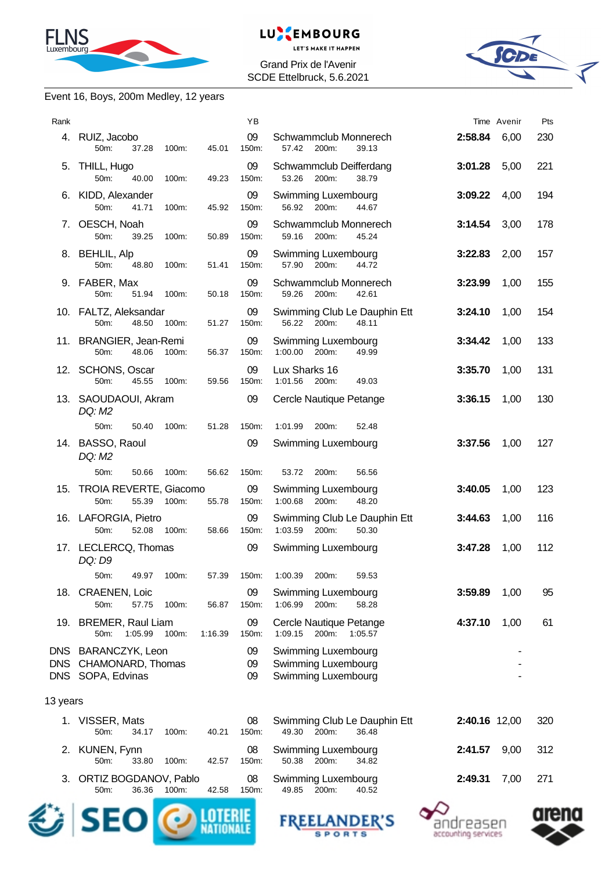



Grand Prix de l'Avenir SCDE Ettelbruck, 5.6.2021



#### Event 16, Boys, 200m Medley, 12 years

| Rank     |                                                                   | YB                     |                                                                   |               | Time Avenir | Pts |
|----------|-------------------------------------------------------------------|------------------------|-------------------------------------------------------------------|---------------|-------------|-----|
|          | 4. RUIZ, Jacobo<br>50 <sub>m</sub> :<br>37.28<br>100m:            | 09<br>150m:<br>45.01   | Schwammclub Monnerech<br>57.42<br>200m:<br>39.13                  | 2:58.84       | 6,00        | 230 |
| 5.       | THILL, Hugo<br>50m:<br>40.00<br>100m:                             | 09<br>49.23<br>150m:   | Schwammclub Deifferdang<br>53.26<br>38.79<br>200m:                | 3:01.28       | 5,00        | 221 |
|          | 6. KIDD, Alexander<br>50m:<br>41.71<br>100m:                      | 09<br>150m:<br>45.92   | Swimming Luxembourg<br>200m:<br>56.92<br>44.67                    | 3:09.22       | 4,00        | 194 |
|          | 7. OESCH, Noah<br>39.25<br>50m:<br>100m:                          | 09<br>150m:<br>50.89   | Schwammclub Monnerech<br>59.16<br>200m:<br>45.24                  | 3:14.54       | 3,00        | 178 |
|          | 8. BEHLIL, Alp<br>50m:<br>48.80<br>100m:                          | 09<br>51.41<br>150m:   | Swimming Luxembourg<br>57.90<br>200m:<br>44.72                    | 3:22.83       | 2,00        | 157 |
|          | 9. FABER, Max<br>51.94<br>50m:<br>100m:                           | 09<br>150m:<br>50.18   | Schwammclub Monnerech<br>59.26 200m:<br>42.61                     | 3:23.99       | 1,00        | 155 |
|          | 10. FALTZ, Aleksandar<br>50m:<br>48.50<br>100m:                   | 09<br>51.27<br>150m:   | Swimming Club Le Dauphin Ett<br>56.22<br>200m:<br>48.11           | 3:24.10       | 1,00        | 154 |
|          | 11. BRANGIER, Jean-Remi<br>50m:<br>48.06<br>100m:                 | 09<br>56.37<br>150m:   | Swimming Luxembourg<br>1:00.00 200m:<br>49.99                     | 3:34.42       | 1,00        | 133 |
|          | 12. SCHONS, Oscar<br>45.55<br>50 <sub>m</sub> :<br>100m:          | 09<br>150m:<br>59.56   | Lux Sharks 16<br>1:01.56 200m:<br>49.03                           | 3:35.70       | 1,00        | 131 |
|          | 13. SAOUDAOUI, Akram<br>DQ: M2                                    | 09                     | Cercle Nautique Petange                                           | 3:36.15       | 1,00        | 130 |
|          | 50m:<br>50.40<br>100m:                                            | 51.28<br>150m:         | 1:01.99<br>200m:<br>52.48                                         |               |             |     |
|          | 14. BASSO, Raoul<br>DQ: M2                                        | 09                     | Swimming Luxembourg                                               | 3:37.56       | 1,00        | 127 |
|          | 50m:<br>50.66<br>100m:                                            | 150m:<br>56.62         | 53.72<br>200m:<br>56.56                                           |               |             |     |
|          | 15. TROIA REVERTE, Giacomo<br>55.39<br>50m:<br>100m:              | 09<br>55.78<br>150m:   | Swimming Luxembourg<br>1:00.68 200m:<br>48.20                     | 3:40.05       | 1,00        | 123 |
|          | 16. LAFORGIA, Pietro<br>52.08<br>100m:<br>50m:                    | 09<br>150m:<br>58.66   | Swimming Club Le Dauphin Ett<br>1:03.59 200m:<br>50.30            | 3:44.63       | 1,00        | 116 |
|          | 17. LECLERCQ, Thomas<br>DQ: D9                                    | 09                     | Swimming Luxembourg                                               | 3:47.28       | 1,00        | 112 |
|          | 50m: 49.97 100m: 57.39 150m:                                      |                        | 1:00.39 200m:<br>59.53                                            |               |             |     |
|          | 18. CRAENEN, Loic<br>100m:<br>50m:<br>57.75                       | 09<br>150m:<br>56.87   | Swimming Luxembourg<br>1:06.99<br>200m:<br>58.28                  | 3:59.89       | 1,00        | 95  |
|          | 19. BREMER, Raul Liam<br>50m:<br>1:05.99<br>100m:                 | 09<br>150m:<br>1:16.39 | Cercle Nautique Petange<br>1:09.15<br>200m:<br>1:05.57            | 4:37.10       | 1,00        | 61  |
|          | DNS BARANCZYK, Leon<br>DNS CHAMONARD, Thomas<br>DNS SOPA, Edvinas | 09<br>09<br>09         | Swimming Luxembourg<br>Swimming Luxembourg<br>Swimming Luxembourg |               |             |     |
| 13 years |                                                                   |                        |                                                                   |               |             |     |
|          | 1. VISSER, Mats<br>50m:<br>34.17<br>100m:                         | 08<br>150m:<br>40.21   | Swimming Club Le Dauphin Ett<br>49.30<br>200m:<br>36.48           | 2:40.16 12,00 |             | 320 |
|          | 2. KUNEN, Fynn<br>33.80<br>50m:<br>100m:                          | 08<br>150m:<br>42.57   | Swimming Luxembourg<br>50.38<br>200m:<br>34.82                    | 2:41.57       | 9,00        | 312 |
| 3.       | ORTIZ BOGDANOV, Pablo<br>50m:<br>36.36<br>100m:                   | 08<br>42.58<br>150m:   | Swimming Luxembourg<br>40.52<br>49.85<br>200m:                    | 2:49.31       | 7,00        | 271 |
|          |                                                                   |                        |                                                                   |               |             |     |